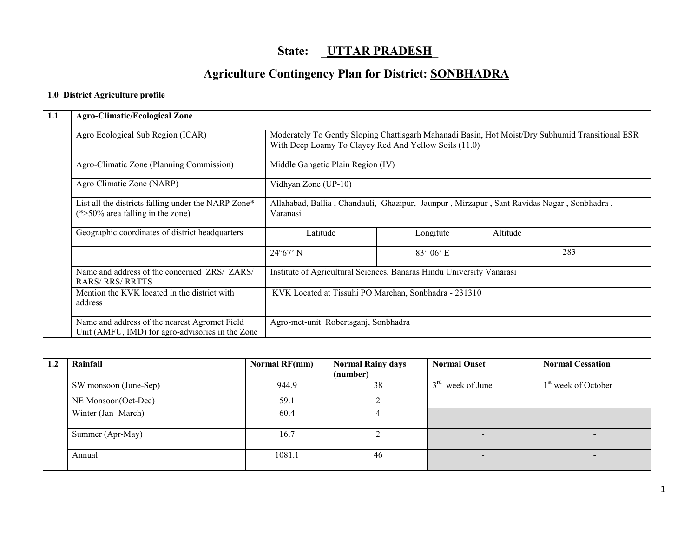## State: UTTAR PRADESH

# Agriculture Contingency Plan for District: SONBHADRA

|     | 1.0 District Agriculture profile                                                                  |                                                                                                                                                           |                    |          |  |  |
|-----|---------------------------------------------------------------------------------------------------|-----------------------------------------------------------------------------------------------------------------------------------------------------------|--------------------|----------|--|--|
| 1.1 | <b>Agro-Climatic/Ecological Zone</b>                                                              |                                                                                                                                                           |                    |          |  |  |
|     | Agro Ecological Sub Region (ICAR)                                                                 | Moderately To Gently Sloping Chattisgarh Mahanadi Basin, Hot Moist/Dry Subhumid Transitional ESR<br>With Deep Loamy To Clayey Red And Yellow Soils (11.0) |                    |          |  |  |
|     | Agro-Climatic Zone (Planning Commission)                                                          | Middle Gangetic Plain Region (IV)                                                                                                                         |                    |          |  |  |
|     | Agro Climatic Zone (NARP)                                                                         | Vidhyan Zone (UP-10)                                                                                                                                      |                    |          |  |  |
|     | List all the districts falling under the NARP Zone*<br>$(*>50\%$ area falling in the zone)        | Allahabad, Ballia, Chandauli, Ghazipur, Jaunpur, Mirzapur, Sant Ravidas Nagar, Sonbhadra,<br>Varanasi                                                     |                    |          |  |  |
|     | Geographic coordinates of district headquarters                                                   | Latitude                                                                                                                                                  | Longitute          | Altitude |  |  |
|     |                                                                                                   | $24^{\circ}67'$ N                                                                                                                                         | $83^{\circ}$ 06' E | 283      |  |  |
|     | Name and address of the concerned ZRS/ ZARS/<br><b>RARS/RRS/RRTTS</b>                             | Institute of Agricultural Sciences, Banaras Hindu University Vanarasi                                                                                     |                    |          |  |  |
|     | Mention the KVK located in the district with<br>address                                           | KVK Located at Tissuhi PO Marehan, Sonbhadra - 231310                                                                                                     |                    |          |  |  |
|     | Name and address of the nearest Agromet Field<br>Unit (AMFU, IMD) for agro-advisories in the Zone | Agro-met-unit Robertsganj, Sonbhadra                                                                                                                      |                    |          |  |  |

| 1.2 | Rainfall              | Normal RF(mm) | <b>Normal Rainy days</b> | <b>Normal Onset</b> | <b>Normal Cessation</b>         |
|-----|-----------------------|---------------|--------------------------|---------------------|---------------------------------|
|     |                       |               | (number)                 |                     |                                 |
|     | SW monsoon (June-Sep) | 944.9         | 38                       | $3rd$ week of June  | 1 <sup>st</sup> week of October |
|     | NE Monsoon(Oct-Dec)   | 59.1          |                          |                     |                                 |
|     | Winter (Jan-March)    | 60.4          |                          |                     |                                 |
|     | Summer (Apr-May)      | 16.7          |                          |                     |                                 |
|     | Annual                | 1081.1        | 46                       |                     |                                 |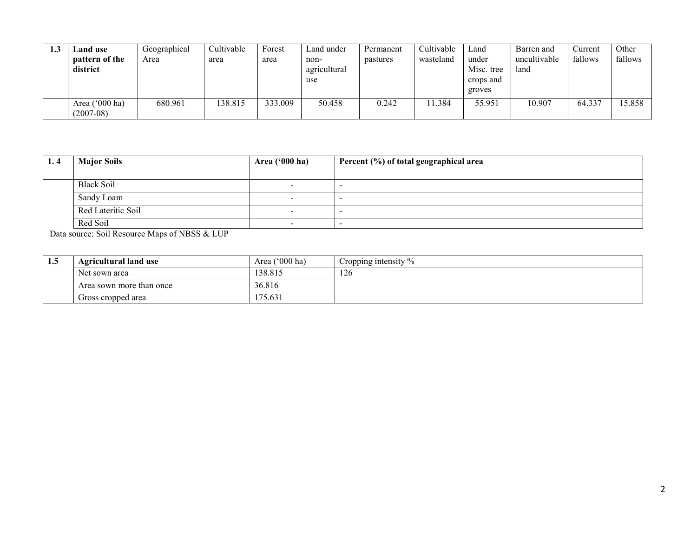| 1.3 | Land use<br>pattern of the<br>district | Geographical<br>Area | Cultivable<br>area | Forest<br>area | Land under<br>non-<br>agricultural<br>use | Permanent<br>pastures | Cultivable<br>wasteland | ∟and<br>under<br>Misc. tree<br>crops and<br>groves | Barren and<br>uncultivable<br>land | ∪urrent<br>fallows | Other<br>fallows |
|-----|----------------------------------------|----------------------|--------------------|----------------|-------------------------------------------|-----------------------|-------------------------|----------------------------------------------------|------------------------------------|--------------------|------------------|
|     | Area $('000 ha)$<br>$(2007 - 08)$      | 680.961              | 138.815            | 333.009        | 50.458                                    | 0.242                 | 11.384                  | 55.951                                             | 10.907                             | 64.337             | 15.858           |

| 1.4 | <b>Major Soils</b> | Area ('000 ha)           | Percent (%) of total geographical area |
|-----|--------------------|--------------------------|----------------------------------------|
|     |                    |                          |                                        |
|     | <b>Black Soil</b>  |                          |                                        |
|     | Sandy Loam         |                          |                                        |
|     | Red Lateritic Soil | $\overline{\phantom{a}}$ |                                        |
|     | Red Soil           |                          |                                        |

Data source: Soil Resource Maps of NBSS & LUP

| 1.5 | <b>Agricultural land use</b> | Area $('000 ha)$ | Cropping intensity $\%$ |
|-----|------------------------------|------------------|-------------------------|
|     | Net sown area                | 38.815           | 126                     |
|     | Area sown more than once     | 36.816           |                         |
|     | Gross cropped area           | 175.631          |                         |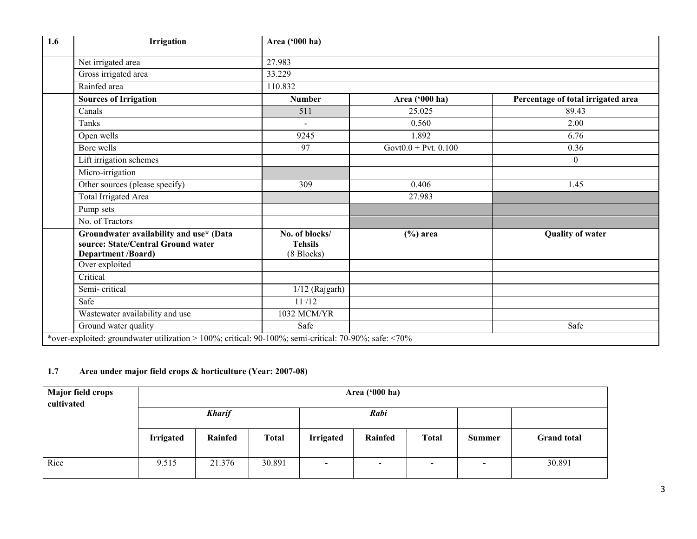| 1.6 | Irrigation                                                                                            | Area ('000 ha)                                 |                           |                                    |  |  |  |  |  |
|-----|-------------------------------------------------------------------------------------------------------|------------------------------------------------|---------------------------|------------------------------------|--|--|--|--|--|
|     | Net irrigated area                                                                                    | 27.983                                         |                           |                                    |  |  |  |  |  |
|     | Gross irrigated area                                                                                  | 33.229                                         |                           |                                    |  |  |  |  |  |
|     | Rainfed area                                                                                          | 110.832                                        |                           |                                    |  |  |  |  |  |
|     | <b>Sources of Irrigation</b>                                                                          | <b>Number</b>                                  | Area ('000 ha)            | Percentage of total irrigated area |  |  |  |  |  |
|     | Canals                                                                                                | 511                                            | 25.025                    | 89.43                              |  |  |  |  |  |
|     | Tanks                                                                                                 | $\blacksquare$                                 | 0.560                     | 2.00                               |  |  |  |  |  |
|     | Open wells                                                                                            | 9245                                           | 1.892                     | 6.76                               |  |  |  |  |  |
|     | Bore wells                                                                                            | 97                                             | Govt $0.0 +$ Pvt. $0.100$ | 0.36                               |  |  |  |  |  |
|     | Lift irrigation schemes                                                                               |                                                |                           | $\boldsymbol{0}$                   |  |  |  |  |  |
|     | Micro-irrigation                                                                                      |                                                |                           |                                    |  |  |  |  |  |
|     | Other sources (please specify)                                                                        | 309                                            | 0.406                     | 1.45                               |  |  |  |  |  |
|     | <b>Total Irrigated Area</b>                                                                           |                                                | 27.983                    |                                    |  |  |  |  |  |
|     | Pump sets                                                                                             |                                                |                           |                                    |  |  |  |  |  |
|     | No. of Tractors                                                                                       |                                                |                           |                                    |  |  |  |  |  |
|     | Groundwater availability and use* (Data<br>source: State/Central Ground water<br>Department /Board)   | No. of blocks/<br><b>Tehsils</b><br>(8 Blocks) | $(\% )$ area              | <b>Quality of water</b>            |  |  |  |  |  |
|     | Over exploited                                                                                        |                                                |                           |                                    |  |  |  |  |  |
|     | Critical                                                                                              |                                                |                           |                                    |  |  |  |  |  |
|     | Semi-critical                                                                                         | $1/12$ (Rajgarh)                               |                           |                                    |  |  |  |  |  |
|     | Safe                                                                                                  | 11/12                                          |                           |                                    |  |  |  |  |  |
|     | Wastewater availability and use                                                                       | 1032 MCM/YR                                    |                           |                                    |  |  |  |  |  |
|     | Ground water quality                                                                                  | Safe                                           |                           | Safe                               |  |  |  |  |  |
|     | *over-exploited: groundwater utilization > 100%; critical: 90-100%; semi-critical: 70-90%; safe: <70% |                                                |                           |                                    |  |  |  |  |  |

### 1.7 Area under major field crops & horticulture (Year: 2007-08)

| <b>Major field crops</b> | Area ('000 ha)   |         |              |                  |                          |                 |               |                    |
|--------------------------|------------------|---------|--------------|------------------|--------------------------|-----------------|---------------|--------------------|
| cultivated               | <b>Kharif</b>    |         |              | Rabi             |                          |                 |               |                    |
|                          | <b>Irrigated</b> | Rainfed | <b>Total</b> | <b>Irrigated</b> | Rainfed                  | <b>Total</b>    | <b>Summer</b> | <b>Grand</b> total |
| Rice                     | 9.515            | 21.376  | 30.891       | $\,$             | $\overline{\phantom{a}}$ | $\qquad \qquad$ | $\sim$        | 30.891             |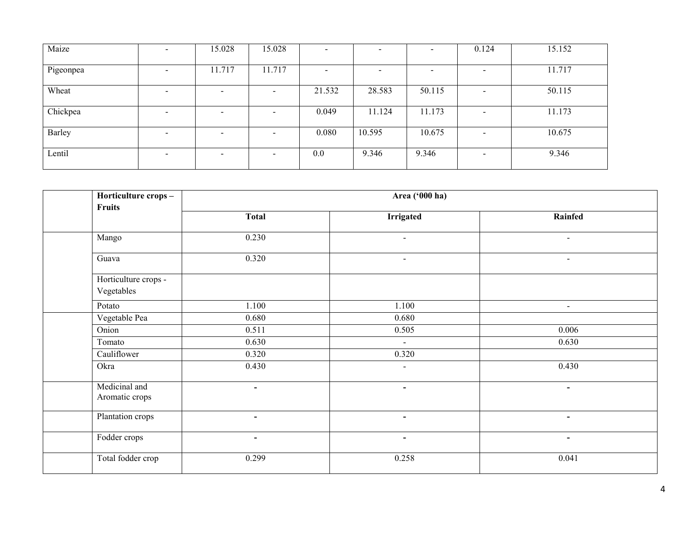| Maize     | $\overline{\phantom{a}}$ | 15.028                   | 15.028                   | $\overline{\phantom{0}}$ |        | $\equiv$                 | 0.124                    | 15.152 |
|-----------|--------------------------|--------------------------|--------------------------|--------------------------|--------|--------------------------|--------------------------|--------|
| Pigeonpea | $\overline{\phantom{a}}$ | 11.717                   | 11.717                   | $\overline{\phantom{0}}$ |        | $\overline{\phantom{0}}$ | $\overline{\phantom{a}}$ | 11.717 |
| Wheat     | $\overline{\phantom{a}}$ | $\qquad \qquad$          | $\overline{\phantom{a}}$ | 21.532                   | 28.583 | 50.115                   | $\overline{\phantom{0}}$ | 50.115 |
| Chickpea  | $\overline{\phantom{a}}$ | $\qquad \qquad$          | $\overline{\phantom{a}}$ | 0.049                    | 11.124 | 11.173                   | $\overline{\phantom{a}}$ | 11.173 |
| Barley    | $\overline{\phantom{0}}$ | $\overline{\phantom{0}}$ | $\overline{\phantom{a}}$ | 0.080                    | 10.595 | 10.675                   | -                        | 10.675 |
| Lentil    | $\overline{\phantom{a}}$ | $\overline{\phantom{0}}$ | $\overline{\phantom{0}}$ | 0.0                      | 9.346  | 9.346                    | $\overline{\phantom{0}}$ | 9.346  |

| Horticulture crops-<br><b>Fruits</b> |                | Area ('000 ha)           |                          |
|--------------------------------------|----------------|--------------------------|--------------------------|
|                                      | <b>Total</b>   | <b>Irrigated</b>         | Rainfed                  |
| Mango                                | 0.230          | $\blacksquare$           | $\overline{\phantom{a}}$ |
| Guava                                | 0.320          | $\blacksquare$           | $\blacksquare$           |
| Horticulture crops -<br>Vegetables   |                |                          |                          |
| Potato                               | 1.100          | 1.100                    | $\blacksquare$           |
| Vegetable Pea                        | 0.680          | 0.680                    |                          |
| Onion                                | 0.511          | 0.505                    | 0.006                    |
| Tomato                               | 0.630          | $\blacksquare$           | 0.630                    |
| Cauliflower                          | 0.320          | 0.320                    |                          |
| Okra                                 | 0.430          | $\blacksquare$           | 0.430                    |
| Medicinal and<br>Aromatic crops      | $\blacksquare$ | $\overline{\phantom{a}}$ | $\blacksquare$           |
| Plantation crops                     | $\blacksquare$ | $\blacksquare$           | $\blacksquare$           |
| Fodder crops                         | $\blacksquare$ | $\blacksquare$           | $\blacksquare$           |
| Total fodder crop                    | 0.299          | 0.258                    | 0.041                    |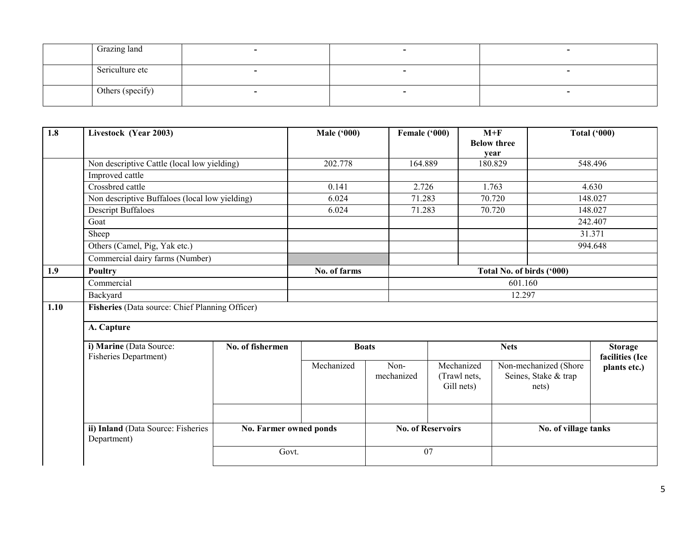| Grazing land     |  |  |
|------------------|--|--|
| Sericulture etc  |  |  |
| Others (specify) |  |  |

| 1.8  | Livestock (Year 2003)                                                               |                        | <b>Male ('000)</b> | Female ('000)      |                                          | $M+F$<br><b>Below three</b><br>year |                                                        | <b>Total ('000)</b>               |
|------|-------------------------------------------------------------------------------------|------------------------|--------------------|--------------------|------------------------------------------|-------------------------------------|--------------------------------------------------------|-----------------------------------|
|      | Non descriptive Cattle (local low yielding)                                         |                        | 202.778            | 164.889            |                                          | 180.829                             |                                                        | 548.496                           |
|      | Improved cattle                                                                     |                        |                    |                    |                                          |                                     |                                                        |                                   |
|      | Crossbred cattle                                                                    |                        | 0.141              | 2.726              |                                          | 1.763                               | 4.630                                                  |                                   |
|      | Non descriptive Buffaloes (local low yielding)<br><b>Descript Buffaloes</b><br>Goat |                        | 6.024              | 71.283             |                                          | 70.720                              |                                                        | 148.027                           |
|      |                                                                                     |                        | 6.024              | 71.283             |                                          | 70.720                              |                                                        | 148.027                           |
|      |                                                                                     |                        |                    |                    |                                          |                                     |                                                        | 242.407                           |
|      | Sheep                                                                               |                        |                    |                    |                                          |                                     |                                                        | 31.371                            |
|      | Others (Camel, Pig, Yak etc.)                                                       |                        |                    |                    |                                          |                                     |                                                        | 994.648                           |
|      | Commercial dairy farms (Number)                                                     |                        |                    |                    |                                          |                                     |                                                        |                                   |
| 1.9  | <b>Poultry</b>                                                                      |                        | No. of farms       |                    |                                          |                                     | Total No. of birds ('000)                              |                                   |
|      | Commercial                                                                          |                        |                    |                    | 601.160                                  |                                     |                                                        |                                   |
|      | Backyard                                                                            |                        |                    |                    |                                          | 12.297                              |                                                        |                                   |
| 1.10 | Fisheries (Data source: Chief Planning Officer)                                     |                        |                    |                    |                                          |                                     |                                                        |                                   |
|      | A. Capture                                                                          |                        |                    |                    |                                          |                                     |                                                        |                                   |
|      | i) Marine (Data Source:<br><b>Fisheries Department)</b>                             | No. of fishermen       | <b>Boats</b>       |                    |                                          | <b>Nets</b>                         |                                                        | <b>Storage</b><br>facilities (Ice |
|      |                                                                                     |                        | Mechanized         | Non-<br>mechanized | Mechanized<br>(Trawl nets,<br>Gill nets) |                                     | Non-mechanized (Shore<br>Seines, Stake & trap<br>nets) | plants etc.)                      |
|      | ii) Inland (Data Source: Fisheries<br>Department)                                   | No. Farmer owned ponds |                    |                    | <b>No. of Reservoirs</b>                 |                                     | No. of village tanks                                   |                                   |
|      |                                                                                     | Govt.                  |                    |                    | 07                                       |                                     |                                                        |                                   |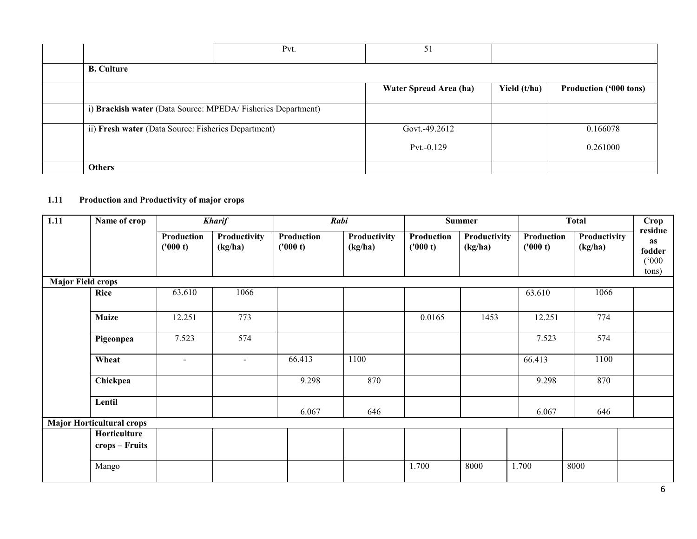|               |                                                              | Pvt. | 51                     |              |                        |
|---------------|--------------------------------------------------------------|------|------------------------|--------------|------------------------|
|               | <b>B.</b> Culture                                            |      |                        |              |                        |
|               |                                                              |      | Water Spread Area (ha) | Yield (t/ha) | Production ('000 tons) |
|               | i) Brackish water (Data Source: MPEDA/ Fisheries Department) |      |                        |              |                        |
|               | ii) Fresh water (Data Source: Fisheries Department)          |      | Govt.-49.2612          |              | 0.166078               |
|               |                                                              |      | $Pvt.-0.129$           |              | 0.261000               |
| <b>Others</b> |                                                              |      |                        |              |                        |

### 1.11 Production and Productivity of major crops

| $\overline{1.11}$        | Name of crop                     |                        | <b>Kharif</b>           |                               | Rabi                    |                        | <b>Summer</b>           |                        | <b>Total</b>            | Crop                                      |
|--------------------------|----------------------------------|------------------------|-------------------------|-------------------------------|-------------------------|------------------------|-------------------------|------------------------|-------------------------|-------------------------------------------|
|                          |                                  | Production<br>('000 t) | Productivity<br>(kg/ha) | <b>Production</b><br>('000 t) | Productivity<br>(kg/ha) | Production<br>('000 t) | Productivity<br>(kg/ha) | Production<br>('000 t) | Productivity<br>(kg/ha) | residue<br>as<br>fodder<br>(000)<br>tons) |
| <b>Major Field crops</b> |                                  |                        |                         |                               |                         |                        |                         |                        |                         |                                           |
|                          | <b>Rice</b>                      | 63.610                 | 1066                    |                               |                         |                        |                         | 63.610                 | 1066                    |                                           |
|                          | <b>Maize</b>                     | 12.251                 | 773                     |                               |                         | 0.0165                 | 1453                    | 12.251                 | 774                     |                                           |
|                          | Pigeonpea                        | 7.523                  | 574                     |                               |                         |                        |                         | 7.523                  | 574                     |                                           |
|                          | Wheat                            | $\mathbf{r}$           | $\sim$                  | 66.413                        | 1100                    |                        |                         | 66.413                 | 1100                    |                                           |
|                          | Chickpea                         |                        |                         | 9.298                         | 870                     |                        |                         | 9.298                  | 870                     |                                           |
|                          | Lentil                           |                        |                         | 6.067                         | 646                     |                        |                         | 6.067                  | 646                     |                                           |
|                          | <b>Major Horticultural crops</b> |                        |                         |                               |                         |                        |                         |                        |                         |                                           |
|                          | Horticulture<br>crops – Fruits   |                        |                         |                               |                         |                        |                         |                        |                         |                                           |
|                          | Mango                            |                        |                         |                               |                         | 1.700                  | 8000                    | 1.700                  | 8000                    |                                           |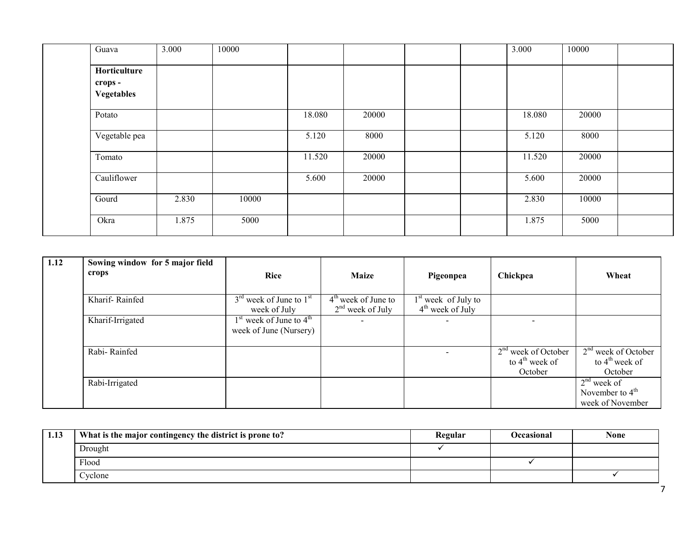| Guava                                 | 3.000 | 10000 |        |       |  | 3.000  | 10000 |  |
|---------------------------------------|-------|-------|--------|-------|--|--------|-------|--|
| Horticulture<br>crops -<br>Vegetables |       |       |        |       |  |        |       |  |
| Potato                                |       |       | 18.080 | 20000 |  | 18.080 | 20000 |  |
| Vegetable pea                         |       |       | 5.120  | 8000  |  | 5.120  | 8000  |  |
| Tomato                                |       |       | 11.520 | 20000 |  | 11.520 | 20000 |  |
| Cauliflower                           |       |       | 5.600  | 20000 |  | 5.600  | 20000 |  |
| Gourd                                 | 2.830 | 10000 |        |       |  | 2.830  | 10000 |  |
| Okra                                  | 1.875 | 5000  |        |       |  | 1.875  | 5000  |  |

| 1.12 | Sowing window for 5 major field |                                                                 |                                             |                                             |                                                                |                                                                |
|------|---------------------------------|-----------------------------------------------------------------|---------------------------------------------|---------------------------------------------|----------------------------------------------------------------|----------------------------------------------------------------|
|      | crops                           | <b>Rice</b>                                                     | <b>Maize</b>                                | Pigeonpea                                   | Chickpea                                                       | Wheat                                                          |
|      |                                 |                                                                 |                                             |                                             |                                                                |                                                                |
|      | Kharif-Rainfed                  | $3^{\text{rd}}$ week of June to $1^{\text{st}}$<br>week of July | $4th$ week of June to<br>$2nd$ week of July | $1st$ week of July to<br>$4th$ week of July |                                                                |                                                                |
|      | Kharif-Irrigated                | $1st$ week of June to $4th$<br>week of June (Nursery)           | $\overline{\phantom{a}}$                    |                                             |                                                                |                                                                |
|      | Rabi-Rainfed                    |                                                                 |                                             |                                             | $2nd$ week of October<br>to $4^{\text{th}}$ week of<br>October | $2nd$ week of October<br>to $4^{\text{th}}$ week of<br>October |
|      | Rabi-Irrigated                  |                                                                 |                                             |                                             |                                                                | $2nd$ week of<br>November to $4th$<br>week of November         |

| 1.13 | What is the major contingency the district is prone to? | Regular | Occasional | None |
|------|---------------------------------------------------------|---------|------------|------|
|      | Drought                                                 |         |            |      |
|      | Flood                                                   |         |            |      |
|      | Cyclone                                                 |         |            |      |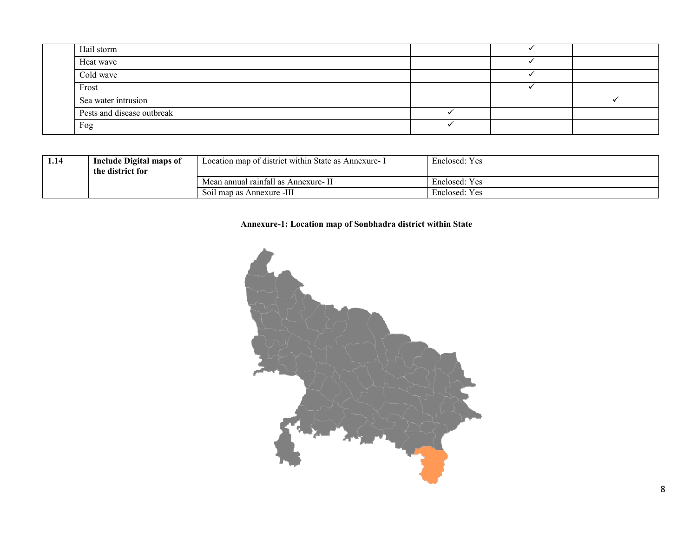| Hail storm                 |  |  |
|----------------------------|--|--|
| Heat wave                  |  |  |
| Cold wave                  |  |  |
| Frost                      |  |  |
| Sea water intrusion        |  |  |
| Pests and disease outbreak |  |  |
| Fog                        |  |  |

| 1.14 | <b>Include Digital maps of</b><br>the district for | Location map of district within State as Annexure - I | Enclosed: Yes |
|------|----------------------------------------------------|-------------------------------------------------------|---------------|
|      |                                                    | Mean annual rainfall as Annexure-II                   | Enclosed: Yes |
|      |                                                    | Soil map as Annexure -III                             | Enclosed: Yes |

### Annexure-1: Location map of Sonbhadra district within State

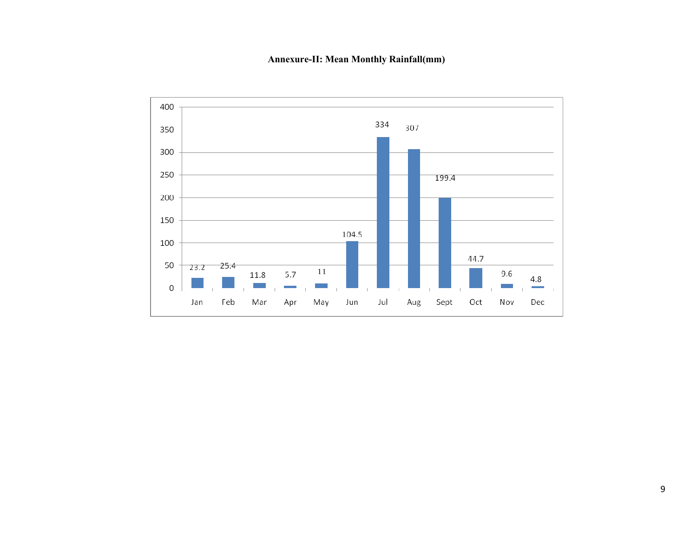Annexure-II: Mean Monthly Rainfall(mm)

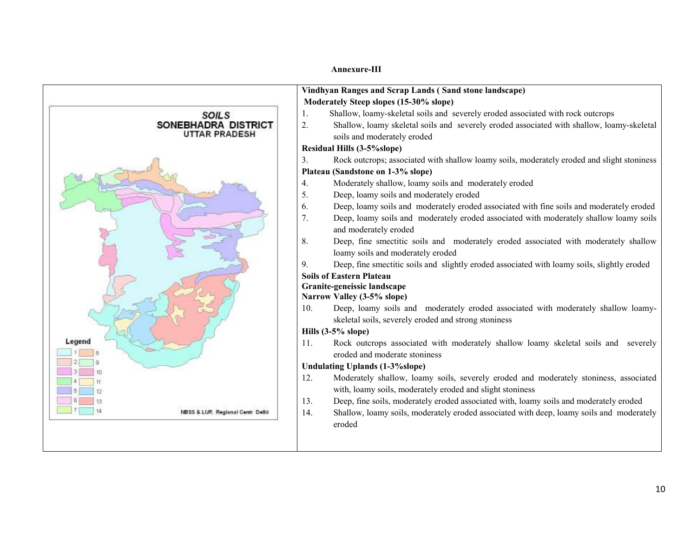Annexure-III

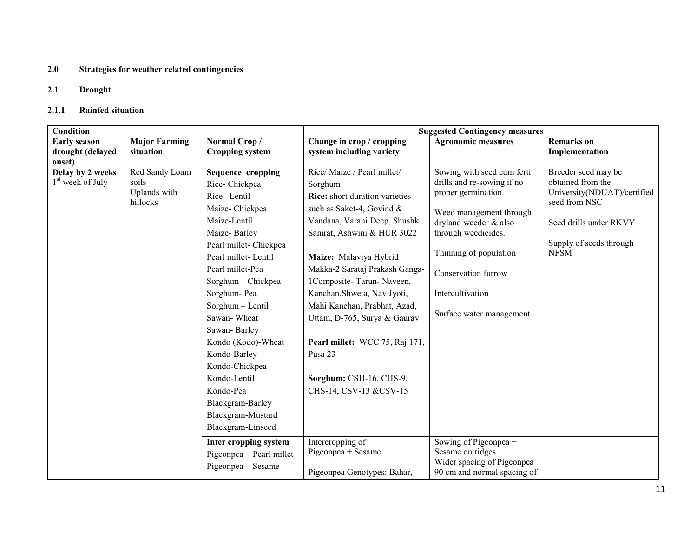### 2.0 Strategies for weather related contingencies

### 2.1 Drought

### 2.1.1 Rainfed situation

| Condition                                        |                                                     |                                                                                                                                                                                                                                                                                                                                                                                                                                                                                                       | <b>Suggested Contingency measures</b>                                                                                                                                                                                                                                                                                                                                                                                                                                                                                                       |                                                                                                                                                                                                                                                                                                                                                                       |                                                                                                                                                              |  |  |
|--------------------------------------------------|-----------------------------------------------------|-------------------------------------------------------------------------------------------------------------------------------------------------------------------------------------------------------------------------------------------------------------------------------------------------------------------------------------------------------------------------------------------------------------------------------------------------------------------------------------------------------|---------------------------------------------------------------------------------------------------------------------------------------------------------------------------------------------------------------------------------------------------------------------------------------------------------------------------------------------------------------------------------------------------------------------------------------------------------------------------------------------------------------------------------------------|-----------------------------------------------------------------------------------------------------------------------------------------------------------------------------------------------------------------------------------------------------------------------------------------------------------------------------------------------------------------------|--------------------------------------------------------------------------------------------------------------------------------------------------------------|--|--|
| <b>Early season</b>                              | <b>Major Farming</b><br>situation                   | Normal Crop/<br><b>Cropping system</b>                                                                                                                                                                                                                                                                                                                                                                                                                                                                | Change in crop / cropping                                                                                                                                                                                                                                                                                                                                                                                                                                                                                                                   | <b>Agronomic measures</b>                                                                                                                                                                                                                                                                                                                                             | <b>Remarks</b> on                                                                                                                                            |  |  |
| drought (delayed<br>onset)                       |                                                     |                                                                                                                                                                                                                                                                                                                                                                                                                                                                                                       | system including variety                                                                                                                                                                                                                                                                                                                                                                                                                                                                                                                    |                                                                                                                                                                                                                                                                                                                                                                       | Implementation                                                                                                                                               |  |  |
| Delay by 2 weeks<br>1 <sup>st</sup> week of July | Red Sandy Loam<br>soils<br>Uplands with<br>hillocks | <b>Sequence cropping</b><br>Rice-Chickpea<br>Rice-Lentil<br>Maize-Chickpea<br>Maize-Lentil<br>Maize-Barley<br>Pearl millet- Chickpea<br>Pearl millet-Lentil<br>Pearl millet-Pea<br>Sorghum - Chickpea<br>Sorghum-Pea<br>Sorghum - Lentil<br>Sawan-Wheat<br>Sawan-Barley<br>Kondo (Kodo)-Wheat<br>Kondo-Barley<br>Kondo-Chickpea<br>Kondo-Lentil<br>Kondo-Pea<br>Blackgram-Barley<br>Blackgram-Mustard<br>Blackgram-Linseed<br>Inter cropping system<br>Pigeonpea + Pearl millet<br>Pigeonpea + Sesame | Rice/Maize / Pearl millet/<br>Sorghum<br><b>Rice:</b> short duration varieties<br>such as Saket-4, Govind &<br>Vandana, Varani Deep, Shushk<br>Samrat, Ashwini & HUR 3022<br>Maize: Malaviya Hybrid<br>Makka-2 Sarataj Prakash Ganga-<br>1Composite-Tarun-Naveen,<br>Kanchan, Shweta, Nav Jyoti,<br>Mahi Kanchan, Prabhat, Azad,<br>Uttam, D-765, Surya & Gaurav<br>Pearl millet: WCC 75, Raj 171,<br>Pusa 23<br>Sorghum: CSH-16, CHS-9,<br>CHS-14, CSV-13 &CSV-15<br>Intercropping of<br>Pigeonpea + Sesame<br>Pigeonpea Genotypes: Bahar, | Sowing with seed cum ferti<br>drills and re-sowing if no<br>proper germination.<br>Weed management through<br>dryland weeder & also<br>through weedicides.<br>Thinning of population<br>Conservation furrow<br>Intercultivation<br>Surface water management<br>Sowing of Pigeonpea +<br>Sesame on ridges<br>Wider spacing of Pigeonpea<br>90 cm and normal spacing of | Breeder seed may be<br>obtained from the<br>University(NDUAT)/certified<br>seed from NSC<br>Seed drills under RKVY<br>Supply of seeds through<br><b>NFSM</b> |  |  |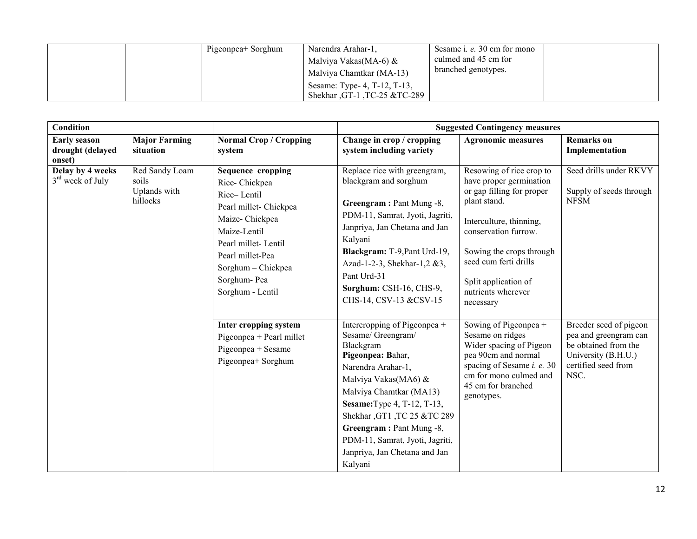|  | Pigeonpea+ Sorghum | Narendra Arahar-1.           | Sesame <i>i. e.</i> 30 cm for mono |  |
|--|--------------------|------------------------------|------------------------------------|--|
|  |                    | Malviya Vakas(MA-6) $\&$     | culmed and 45 cm for               |  |
|  |                    | Malviya Chamtkar (MA-13)     | branched genotypes.                |  |
|  |                    | Sesame: Type- 4, T-12, T-13, |                                    |  |
|  |                    | Shekhar, GT-1, TC-25 &TC-289 |                                    |  |

| <b>Condition</b>                                  |                                                     |                                                                                                                                                                                                                          |                                                                                                                                                                                                                                                                                                                                              | <b>Suggested Contingency measures</b>                                                                                                                                                                                                                               |                                                                                                                               |
|---------------------------------------------------|-----------------------------------------------------|--------------------------------------------------------------------------------------------------------------------------------------------------------------------------------------------------------------------------|----------------------------------------------------------------------------------------------------------------------------------------------------------------------------------------------------------------------------------------------------------------------------------------------------------------------------------------------|---------------------------------------------------------------------------------------------------------------------------------------------------------------------------------------------------------------------------------------------------------------------|-------------------------------------------------------------------------------------------------------------------------------|
| <b>Early season</b><br>drought (delayed<br>onset) | <b>Major Farming</b><br>situation                   | <b>Normal Crop / Cropping</b><br>system                                                                                                                                                                                  | Change in crop / cropping<br>system including variety                                                                                                                                                                                                                                                                                        | <b>Agronomic measures</b>                                                                                                                                                                                                                                           | <b>Remarks</b> on<br>Implementation                                                                                           |
| Delay by 4 weeks<br>3 <sup>rd</sup> week of July  | Red Sandy Loam<br>soils<br>Uplands with<br>hillocks | <b>Sequence cropping</b><br>Rice-Chickpea<br>Rice-Lentil<br>Pearl millet- Chickpea<br>Maize-Chickpea<br>Maize-Lentil<br>Pearl millet-Lentil<br>Pearl millet-Pea<br>Sorghum - Chickpea<br>Sorghum-Pea<br>Sorghum - Lentil | Replace rice with greengram,<br>blackgram and sorghum<br>Greengram: Pant Mung -8,<br>PDM-11, Samrat, Jyoti, Jagriti,<br>Janpriya, Jan Chetana and Jan<br>Kalyani<br>Blackgram: T-9, Pant Urd-19,<br>Azad-1-2-3, Shekhar-1,2 &3,<br>Pant Urd-31<br>Sorghum: CSH-16, CHS-9,<br>CHS-14, CSV-13 &CSV-15                                          | Resowing of rice crop to<br>have proper germination<br>or gap filling for proper<br>plant stand.<br>Interculture, thinning,<br>conservation furrow.<br>Sowing the crops through<br>seed cum ferti drills<br>Split application of<br>nutrients wherever<br>necessary | Seed drills under RKVY<br>Supply of seeds through<br><b>NFSM</b>                                                              |
|                                                   |                                                     | Inter cropping system<br>Pigeonpea + Pearl millet<br>Pigeonpea + Sesame<br>Pigeonpea+ Sorghum                                                                                                                            | Intercropping of Pigeonpea +<br>Sesame/Greengram/<br>Blackgram<br>Pigeonpea: Bahar,<br>Narendra Arahar-1,<br>Malviya Vakas(MA6) &<br>Malviya Chamtkar (MA13)<br><b>Sesame:</b> Type 4, T-12, T-13,<br>Shekhar, GT1, TC 25 &TC 289<br>Greengram: Pant Mung -8,<br>PDM-11, Samrat, Jyoti, Jagriti,<br>Janpriya, Jan Chetana and Jan<br>Kalyani | Sowing of Pigeonpea +<br>Sesame on ridges<br>Wider spacing of Pigeon<br>pea 90cm and normal<br>spacing of Sesame <i>i. e.</i> 30<br>cm for mono culmed and<br>45 cm for branched<br>genotypes.                                                                      | Breeder seed of pigeon<br>pea and greengram can<br>be obtained from the<br>University (B.H.U.)<br>certified seed from<br>NSC. |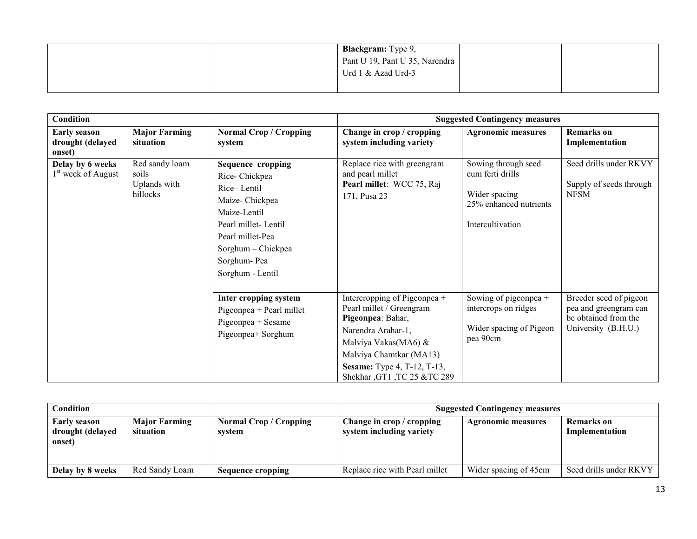|  | <b>Blackgram:</b> Type 9,      |  |
|--|--------------------------------|--|
|  | Pant U 19, Pant U 35, Narendra |  |
|  | Urd 1 & Azad Urd-3             |  |
|  |                                |  |

| Condition                                          |                                                     |                                                                                                                                                                                                |                                                                                                                                                                                                                             | <b>Suggested Contingency measures</b>                                                                  |                                                                                                |
|----------------------------------------------------|-----------------------------------------------------|------------------------------------------------------------------------------------------------------------------------------------------------------------------------------------------------|-----------------------------------------------------------------------------------------------------------------------------------------------------------------------------------------------------------------------------|--------------------------------------------------------------------------------------------------------|------------------------------------------------------------------------------------------------|
| <b>Early season</b><br>drought (delayed<br>onset)  | <b>Major Farming</b><br>situation                   | <b>Normal Crop / Cropping</b><br>system                                                                                                                                                        | Change in crop / cropping<br>system including variety                                                                                                                                                                       | <b>Agronomic measures</b>                                                                              | <b>Remarks</b> on<br>Implementation                                                            |
| Delay by 6 weeks<br>1 <sup>st</sup> week of August | Red sandy loam<br>soils<br>Uplands with<br>hillocks | <b>Sequence cropping</b><br>Rice-Chickpea<br>Rice-Lentil<br>Maize-Chickpea<br>Maize-Lentil<br>Pearl millet-Lentil<br>Pearl millet-Pea<br>Sorghum - Chickpea<br>Sorghum-Pea<br>Sorghum - Lentil | Replace rice with greengram<br>and pearl millet<br>Pearl millet: WCC 75, Raj<br>171, Pusa 23                                                                                                                                | Sowing through seed<br>cum ferti drills<br>Wider spacing<br>25% enhanced nutrients<br>Intercultivation | Seed drills under RKVY<br>Supply of seeds through<br><b>NFSM</b>                               |
|                                                    |                                                     | Inter cropping system<br>Pigeonpea + Pearl millet<br>Pigeonpea + Sesame<br>Pigeonpea+ Sorghum                                                                                                  | Intercropping of Pigeonpea +<br>Pearl millet / Greengram<br>Pigeonpea: Bahar,<br>Narendra Arahar-1,<br>Malviya Vakas(MA6) &<br>Malviya Chamtkar (MA13)<br><b>Sesame:</b> Type 4, T-12, T-13,<br>Shekhar, GT1, TC 25 &TC 289 | Sowing of pigeonpea +<br>intercrops on ridges<br>Wider spacing of Pigeon<br>pea 90cm                   | Breeder seed of pigeon<br>pea and greengram can<br>be obtained from the<br>University (B.H.U.) |

| Condition                                  |                                   |                                       | <b>Suggested Contingency measures</b>                 |                           |                              |  |
|--------------------------------------------|-----------------------------------|---------------------------------------|-------------------------------------------------------|---------------------------|------------------------------|--|
| Early season<br>drought (delayed<br>onset) | <b>Major Farming</b><br>situation | <b>Normal Crop/Cropping</b><br>system | Change in crop / cropping<br>system including variety | <b>Agronomic measures</b> | Remarks on<br>Implementation |  |
| Delay by 8 weeks                           | Red Sandy Loam                    | Sequence cropping                     | Replace rice with Pearl millet                        | Wider spacing of 45cm     | Seed drills under RKVY       |  |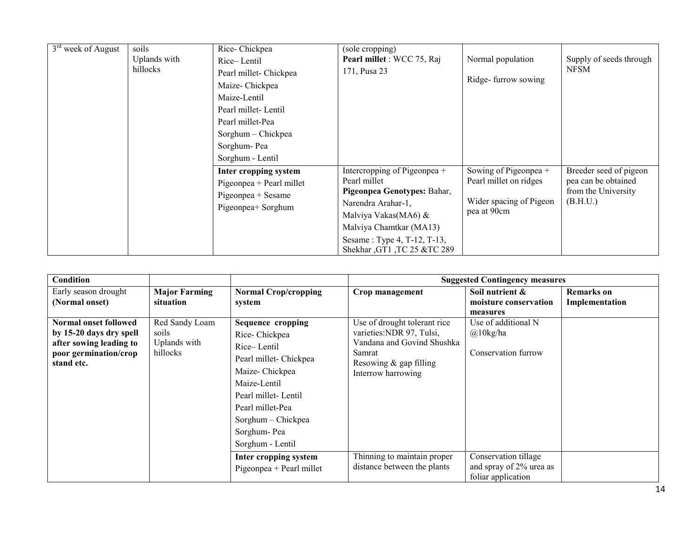| $3rd$ week of August | soils<br>Uplands with<br>hillocks | Rice-Chickpea<br>Rice-Lentil<br>Pearl millet- Chickpea<br>Maize-Chickpea<br>Maize-Lentil<br>Pearl millet-Lentil<br>Pearl millet-Pea<br>Sorghum – Chickpea<br>Sorghum-Pea<br>Sorghum - Lentil | (sole cropping)<br>Pearl millet : WCC 75, Raj<br>171, Pusa 23                                                                                                                                                      | Normal population<br>Ridge-furrow sowing                                                  | Supply of seeds through<br><b>NFSM</b>                                           |
|----------------------|-----------------------------------|----------------------------------------------------------------------------------------------------------------------------------------------------------------------------------------------|--------------------------------------------------------------------------------------------------------------------------------------------------------------------------------------------------------------------|-------------------------------------------------------------------------------------------|----------------------------------------------------------------------------------|
|                      |                                   | Inter cropping system<br>Pigeonpea + Pearl millet<br>Pigeonpea + Sesame<br>Pigeonpea+ Sorghum                                                                                                | Intercropping of Pigeonpea +<br>Pearl millet<br>Pigeonpea Genotypes: Bahar,<br>Narendra Arahar-1,<br>Malviya Vakas(MA6) &<br>Malviya Chamtkar (MA13)<br>Sesame: Type 4, T-12, T-13,<br>Shekhar, GT1, TC 25 &TC 289 | Sowing of Pigeonpea +<br>Pearl millet on ridges<br>Wider spacing of Pigeon<br>pea at 90cm | Breeder seed of pigeon<br>pea can be obtained<br>from the University<br>(B.H.U.) |

| <b>Condition</b>                                                                                                   |                                                     |                                                                                                                                                                                                                          |                                                                                                                                                   | <b>Suggested Contingency measures</b>                                 |                              |
|--------------------------------------------------------------------------------------------------------------------|-----------------------------------------------------|--------------------------------------------------------------------------------------------------------------------------------------------------------------------------------------------------------------------------|---------------------------------------------------------------------------------------------------------------------------------------------------|-----------------------------------------------------------------------|------------------------------|
| Early season drought<br>(Normal onset)                                                                             | <b>Major Farming</b><br>situation                   | <b>Normal Crop/cropping</b><br>system                                                                                                                                                                                    | Crop management                                                                                                                                   | Soil nutrient $\&$<br>moisture conservation<br>measures               | Remarks on<br>Implementation |
| Normal onset followed<br>by 15-20 days dry spell<br>after sowing leading to<br>poor germination/crop<br>stand etc. | Red Sandy Loam<br>soils<br>Uplands with<br>hillocks | <b>Sequence cropping</b><br>Rice-Chickpea<br>Rice-Lentil<br>Pearl millet- Chickpea<br>Maize-Chickpea<br>Maize-Lentil<br>Pearl millet-Lentil<br>Pearl millet-Pea<br>Sorghum - Chickpea<br>Sorghum-Pea<br>Sorghum - Lentil | Use of drought tolerant rice<br>varieties: NDR 97, Tulsi,<br>Vandana and Govind Shushka<br>Samrat<br>Resowing & gap filling<br>Interrow harrowing | Use of additional N<br>$@10$ kg/ha<br>Conservation furrow             |                              |
|                                                                                                                    |                                                     | Inter cropping system<br>Pigeonpea + Pearl millet                                                                                                                                                                        | Thinning to maintain proper<br>distance between the plants                                                                                        | Conservation tillage<br>and spray of 2% urea as<br>foliar application |                              |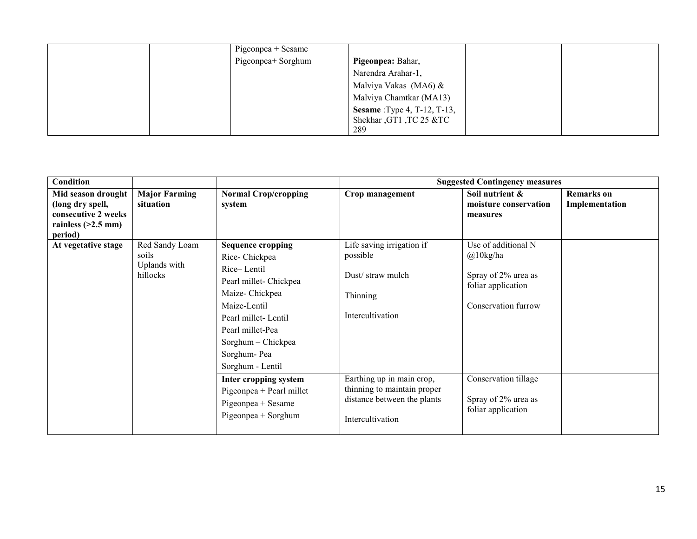| Pigeonpea + Sesame |                                     |
|--------------------|-------------------------------------|
| Pigeonpea+ Sorghum | Pigeonpea: Bahar,                   |
|                    | Narendra Arahar-1,                  |
|                    | Malviya Vakas (MA6) &               |
|                    | Malviya Chamtkar (MA13)             |
|                    | <b>Sesame</b> : Type 4, T-12, T-13, |
|                    | Shekhar, GT1, TC 25 &TC             |
|                    | 289                                 |

| Condition                                                                                        |                                                     |                                                                                                                                                                                                                                                                               | <b>Suggested Contingency measures</b>                                                                                                                 |                                                                                                                                |                                     |  |
|--------------------------------------------------------------------------------------------------|-----------------------------------------------------|-------------------------------------------------------------------------------------------------------------------------------------------------------------------------------------------------------------------------------------------------------------------------------|-------------------------------------------------------------------------------------------------------------------------------------------------------|--------------------------------------------------------------------------------------------------------------------------------|-------------------------------------|--|
| Mid season drought<br>(long dry spell,<br>consecutive 2 weeks<br>rainless $(>2.5$ mm)<br>period) | <b>Major Farming</b><br>situation                   | <b>Normal Crop/cropping</b><br>system                                                                                                                                                                                                                                         | Crop management                                                                                                                                       | Soil nutrient &<br>moisture conservation<br>measures                                                                           | <b>Remarks</b> on<br>Implementation |  |
| At vegetative stage                                                                              | Red Sandy Loam<br>soils<br>Uplands with<br>hillocks | <b>Sequence cropping</b><br>Rice-Chickpea<br>Rice-Lentil<br>Pearl millet- Chickpea<br>Maize-Chickpea<br>Maize-Lentil<br>Pearl millet-Lentil<br>Pearl millet-Pea<br>Sorghum - Chickpea<br>Sorghum-Pea<br>Sorghum - Lentil<br>Inter cropping system<br>Pigeonpea + Pearl millet | Life saving irrigation if<br>possible<br>Dust/straw mulch<br>Thinning<br>Intercultivation<br>Earthing up in main crop,<br>thinning to maintain proper | Use of additional N<br>$@10$ kg/ha<br>Spray of 2% urea as<br>foliar application<br>Conservation furrow<br>Conservation tillage |                                     |  |
|                                                                                                  |                                                     | Pigeonpea + Sesame<br>Pigeonpea + Sorghum                                                                                                                                                                                                                                     | distance between the plants<br>Intercultivation                                                                                                       | Spray of 2% urea as<br>foliar application                                                                                      |                                     |  |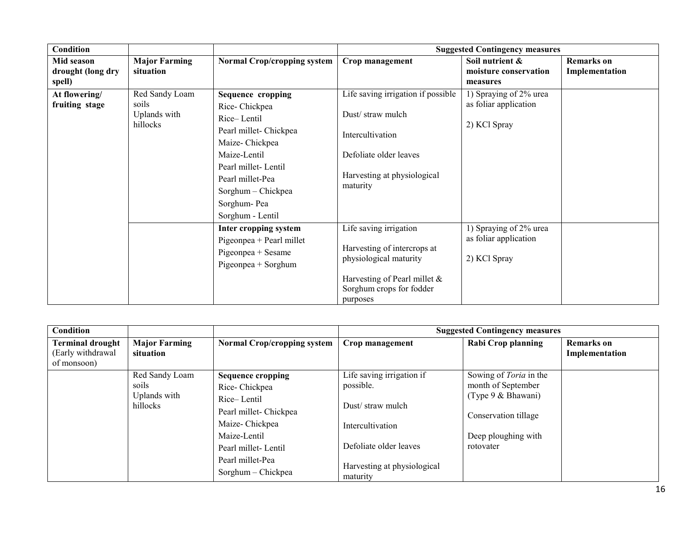| <b>Condition</b>                          |                                                     |                                                                                                                                                                                                                   |                                                                                                                                                         | <b>Suggested Contingency measures</b>                           |                                     |
|-------------------------------------------|-----------------------------------------------------|-------------------------------------------------------------------------------------------------------------------------------------------------------------------------------------------------------------------|---------------------------------------------------------------------------------------------------------------------------------------------------------|-----------------------------------------------------------------|-------------------------------------|
| Mid season<br>drought (long dry<br>spell) | <b>Major Farming</b><br>situation                   | <b>Normal Crop/cropping system</b>                                                                                                                                                                                | Crop management                                                                                                                                         | Soil nutrient &<br>moisture conservation<br>measures            | <b>Remarks</b> on<br>Implementation |
| At flowering/<br>fruiting stage           | Red Sandy Loam<br>soils<br>Uplands with<br>hillocks | Sequence cropping<br>Rice-Chickpea<br>Rice-Lentil<br>Pearl millet- Chickpea<br>Maize-Chickpea<br>Maize-Lentil<br>Pearl millet-Lentil<br>Pearl millet-Pea<br>Sorghum - Chickpea<br>Sorghum-Pea<br>Sorghum - Lentil | Life saving irrigation if possible<br>Dust/straw mulch<br>Intercultivation<br>Defoliate older leaves<br>Harvesting at physiological<br>maturity         | 1) Spraying of 2% urea<br>as foliar application<br>2) KCl Spray |                                     |
|                                           |                                                     | Inter cropping system<br>Pigeonpea + Pearl millet<br>Pigeonpea + Sesame<br>Pigeonpea + Sorghum                                                                                                                    | Life saving irrigation<br>Harvesting of intercrops at<br>physiological maturity<br>Harvesting of Pearl millet &<br>Sorghum crops for fodder<br>purposes | 1) Spraying of 2% urea<br>as foliar application<br>2) KCl Spray |                                     |

| <b>Condition</b>                                            |                                                     |                                                                                                                                                                                       | <b>Suggested Contingency measures</b>                                                                                                               |                                                                                                                                                         |                              |  |
|-------------------------------------------------------------|-----------------------------------------------------|---------------------------------------------------------------------------------------------------------------------------------------------------------------------------------------|-----------------------------------------------------------------------------------------------------------------------------------------------------|---------------------------------------------------------------------------------------------------------------------------------------------------------|------------------------------|--|
| <b>Terminal drought</b><br>(Early withdrawal<br>of monsoon) | <b>Major Farming</b><br>situation                   | <b>Normal Crop/cropping system</b>                                                                                                                                                    | Crop management                                                                                                                                     | Rabi Crop planning                                                                                                                                      | Remarks on<br>Implementation |  |
|                                                             | Red Sandy Loam<br>soils<br>Uplands with<br>hillocks | <b>Sequence cropping</b><br>Rice-Chickpea<br>Rice-Lentil<br>Pearl millet- Chickpea<br>Maize-Chickpea<br>Maize-Lentil<br>Pearl millet-Lentil<br>Pearl millet-Pea<br>Sorghum – Chickpea | Life saving irrigation if<br>possible.<br>Dust/straw mulch<br>Intercultivation<br>Defoliate older leaves<br>Harvesting at physiological<br>maturity | Sowing of <i>Toria</i> in the<br>month of September<br>$(\text{Type } 9 \& \text{Bhawani})$<br>Conservation tillage<br>Deep ploughing with<br>rotovater |                              |  |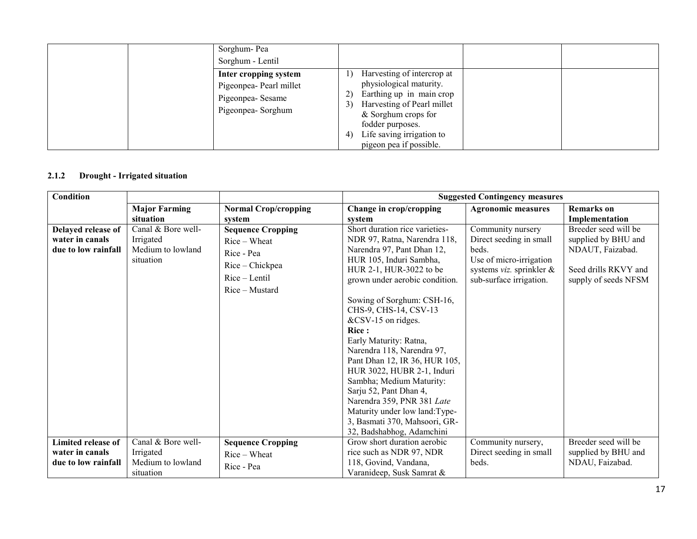| Sorghum-Pea<br>Sorghum - Lentil                                                           |                                                                                                                                                                                                                               |
|-------------------------------------------------------------------------------------------|-------------------------------------------------------------------------------------------------------------------------------------------------------------------------------------------------------------------------------|
| Inter cropping system<br>Pigeonpea- Pearl millet<br>Pigeonpea-Sesame<br>Pigeonpea-Sorghum | Harvesting of intercrop at<br>physiological maturity.<br>Earthing up in main crop<br>Harvesting of Pearl millet<br>3)<br>& Sorghum crops for<br>fodder purposes.<br>Life saving irrigation to<br>4<br>pigeon pea if possible. |

#### 2.1.2Drought - Irrigated situation

| <b>Condition</b>                                             |                                                                   |                                                                                                                | <b>Suggested Contingency measures</b>                                                                                                                                                                                                                                                                                                                                                                                                                                                                                                                                                        |                                                                                                                                            |                                                                                                                 |  |
|--------------------------------------------------------------|-------------------------------------------------------------------|----------------------------------------------------------------------------------------------------------------|----------------------------------------------------------------------------------------------------------------------------------------------------------------------------------------------------------------------------------------------------------------------------------------------------------------------------------------------------------------------------------------------------------------------------------------------------------------------------------------------------------------------------------------------------------------------------------------------|--------------------------------------------------------------------------------------------------------------------------------------------|-----------------------------------------------------------------------------------------------------------------|--|
|                                                              | <b>Major Farming</b>                                              | <b>Normal Crop/cropping</b>                                                                                    | Change in crop/cropping                                                                                                                                                                                                                                                                                                                                                                                                                                                                                                                                                                      | <b>Agronomic measures</b>                                                                                                                  | <b>Remarks</b> on                                                                                               |  |
|                                                              | situation                                                         | system                                                                                                         | system                                                                                                                                                                                                                                                                                                                                                                                                                                                                                                                                                                                       |                                                                                                                                            | Implementation                                                                                                  |  |
| Delayed release of<br>water in canals<br>due to low rainfall | Canal & Bore well-<br>Irrigated<br>Medium to lowland<br>situation | <b>Sequence Cropping</b><br>$Rice-Wheat$<br>Rice - Pea<br>Rice - Chickpea<br>Rice – Lentil<br>$Rice$ – Mustard | Short duration rice varieties-<br>NDR 97, Ratna, Narendra 118,<br>Narendra 97, Pant Dhan 12,<br>HUR 105, Induri Sambha,<br>HUR 2-1, HUR-3022 to be<br>grown under aerobic condition.<br>Sowing of Sorghum: CSH-16,<br>CHS-9, CHS-14, CSV-13<br>&CSV-15 on ridges.<br><b>Rice:</b><br>Early Maturity: Ratna,<br>Narendra 118, Narendra 97,<br>Pant Dhan 12, IR 36, HUR 105,<br>HUR 3022, HUBR 2-1, Induri<br>Sambha; Medium Maturity:<br>Sarju 52, Pant Dhan 4,<br>Narendra 359, PNR 381 Late<br>Maturity under low land: Type-<br>3, Basmati 370, Mahsoori, GR-<br>32, Badshabhog, Adamchini | Community nursery<br>Direct seeding in small<br>beds.<br>Use of micro-irrigation<br>systems $viz$ . sprinkler &<br>sub-surface irrigation. | Breeder seed will be<br>supplied by BHU and<br>NDAUT, Faizabad.<br>Seed drills RKVY and<br>supply of seeds NFSM |  |
| Limited release of<br>water in canals<br>due to low rainfall | Canal & Bore well-<br>Irrigated<br>Medium to lowland<br>situation | <b>Sequence Cropping</b><br>$Rice-Wheat$<br>Rice - Pea                                                         | Grow short duration aerobic<br>rice such as NDR 97, NDR<br>118, Govind, Vandana,<br>Varanideep, Susk Samrat &                                                                                                                                                                                                                                                                                                                                                                                                                                                                                | Community nursery,<br>Direct seeding in small<br>beds.                                                                                     | Breeder seed will be<br>supplied by BHU and<br>NDAU, Faizabad.                                                  |  |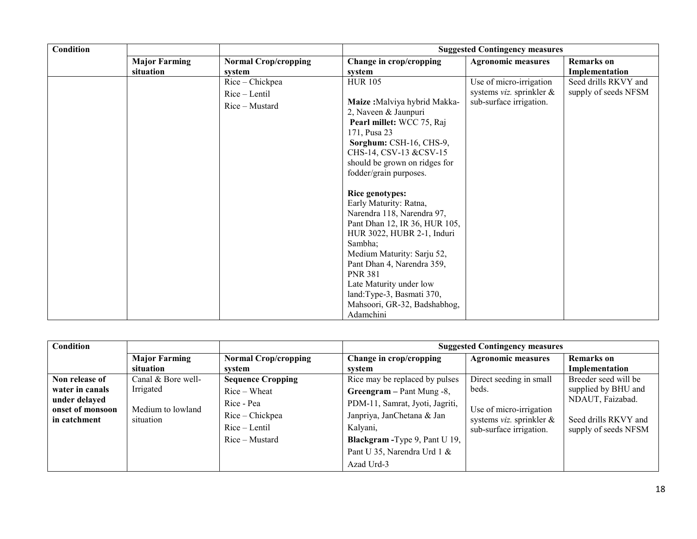| Condition |                      |                                                    | <b>Suggested Contingency measures</b>                                                                                                                                                                                                                                                                                                                                                                                                                                                                                                                                        |                                                                                           |                                              |  |
|-----------|----------------------|----------------------------------------------------|------------------------------------------------------------------------------------------------------------------------------------------------------------------------------------------------------------------------------------------------------------------------------------------------------------------------------------------------------------------------------------------------------------------------------------------------------------------------------------------------------------------------------------------------------------------------------|-------------------------------------------------------------------------------------------|----------------------------------------------|--|
|           | <b>Major Farming</b> | <b>Normal Crop/cropping</b>                        | Change in crop/cropping                                                                                                                                                                                                                                                                                                                                                                                                                                                                                                                                                      | <b>Agronomic measures</b>                                                                 | <b>Remarks</b> on                            |  |
|           | situation            | system                                             | system                                                                                                                                                                                                                                                                                                                                                                                                                                                                                                                                                                       |                                                                                           | Implementation                               |  |
|           |                      | Rice - Chickpea<br>Rice - Lentil<br>Rice - Mustard | <b>HUR 105</b><br>Maize: Malviya hybrid Makka-<br>2, Naveen & Jaunpuri<br>Pearl millet: WCC 75, Raj<br>171, Pusa 23<br>Sorghum: CSH-16, CHS-9,<br>CHS-14, CSV-13 &CSV-15<br>should be grown on ridges for<br>fodder/grain purposes.<br>Rice genotypes:<br>Early Maturity: Ratna,<br>Narendra 118, Narendra 97,<br>Pant Dhan 12, IR 36, HUR 105,<br>HUR 3022, HUBR 2-1, Induri<br>Sambha;<br>Medium Maturity: Sarju 52,<br>Pant Dhan 4, Narendra 359,<br><b>PNR 381</b><br>Late Maturity under low<br>land: Type-3, Basmati 370,<br>Mahsoori, GR-32, Badshabhog,<br>Adamchini | Use of micro-irrigation<br>systems <i>viz</i> . sprinkler $\&$<br>sub-surface irrigation. | Seed drills RKVY and<br>supply of seeds NFSM |  |

| Condition                                         |                                |                                                                    | <b>Suggested Contingency measures</b>                                                                                                                    |                                                                                |                                                                  |
|---------------------------------------------------|--------------------------------|--------------------------------------------------------------------|----------------------------------------------------------------------------------------------------------------------------------------------------------|--------------------------------------------------------------------------------|------------------------------------------------------------------|
|                                                   | <b>Major Farming</b>           | <b>Normal Crop/cropping</b>                                        | Change in crop/cropping                                                                                                                                  | <b>Agronomic measures</b>                                                      | Remarks on                                                       |
|                                                   | situation                      | svstem                                                             | system                                                                                                                                                   |                                                                                | Implementation                                                   |
| Non release of                                    | Canal & Bore well-             | <b>Sequence Cropping</b>                                           | Rice may be replaced by pulses                                                                                                                           | Direct seeding in small                                                        | Breeder seed will be                                             |
| water in canals                                   | Irrigated                      | $Rice-Wheat$                                                       | Greengram $-$ Pant Mung $-8$ ,                                                                                                                           | beds.                                                                          | supplied by BHU and                                              |
| under delayed<br>onset of monsoon<br>in catchment | Medium to lowland<br>situation | Rice - Pea<br>Rice – Chickpea<br>$Rice - Lentil$<br>Rice – Mustard | PDM-11, Samrat, Jyoti, Jagriti,<br>Janpriya, JanChetana & Jan<br>Kalyani,<br>Blackgram - Type 9, Pant U 19,<br>Pant U 35, Narendra Urd 1 &<br>Azad Urd-3 | Use of micro-irrigation<br>systems viz. sprinkler &<br>sub-surface irrigation. | NDAUT, Faizabad.<br>Seed drills RKVY and<br>supply of seeds NFSM |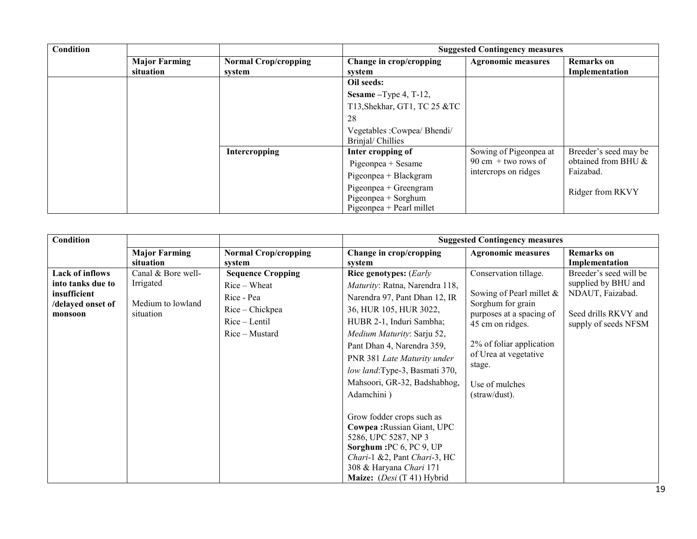| Condition |                                   |                                       |                                                                          | <b>Suggested Contingency measures</b> |                                     |
|-----------|-----------------------------------|---------------------------------------|--------------------------------------------------------------------------|---------------------------------------|-------------------------------------|
|           | <b>Major Farming</b><br>situation | <b>Normal Crop/cropping</b><br>svstem | Change in crop/cropping<br>system                                        | <b>Agronomic measures</b>             | <b>Remarks</b> on<br>Implementation |
|           |                                   |                                       | Oil seeds:                                                               |                                       |                                     |
|           |                                   |                                       | Sesame $-T$ ype 4, T-12,                                                 |                                       |                                     |
|           |                                   |                                       | T13, Shekhar, GT1, TC 25 &TC                                             |                                       |                                     |
|           |                                   |                                       | 28                                                                       |                                       |                                     |
|           |                                   |                                       | Vegetables : Cowpea/ Bhendi/<br>Brinjal/Chillies                         |                                       |                                     |
|           |                                   | Intercropping                         | Inter cropping of                                                        | Sowing of Pigeonpea at                | Breeder's seed may be               |
|           |                                   |                                       | $Pigeonpea + Sesame$                                                     | $90 \text{ cm} +$ two rows of         | obtained from BHU &                 |
|           |                                   |                                       | Pigeonpea + Blackgram                                                    | intercrops on ridges                  | Faizabad.                           |
|           |                                   |                                       | Pigeonpea + Greengram<br>Pigeonpea + Sorghum<br>Pigeonpea + Pearl millet |                                       | Ridger from RKVY                    |

| <b>Condition</b>             |                                |                             | <b>Suggested Contingency measures</b> |                                               |                        |
|------------------------------|--------------------------------|-----------------------------|---------------------------------------|-----------------------------------------------|------------------------|
|                              | <b>Major Farming</b>           | <b>Normal Crop/cropping</b> | Change in crop/cropping               | <b>Agronomic measures</b>                     | <b>Remarks</b> on      |
|                              | situation                      | system                      | system                                |                                               | Implementation         |
| <b>Lack of inflows</b>       | Canal & Bore well-             | <b>Sequence Cropping</b>    | <b>Rice genotypes:</b> (Early         | Conservation tillage.                         | Breeder's seed will be |
| into tanks due to            | Irrigated                      | $Rice-Wheat$                | Maturity: Ratna, Narendra 118,        |                                               | supplied by BHU and    |
| insufficient                 |                                | Rice - Pea                  | Narendra 97, Pant Dhan 12, IR         | Sowing of Pearl millet $\&$                   | NDAUT, Faizabad.       |
| /delayed onset of<br>monsoon | Medium to lowland<br>situation | Rice – Chickpea             | 36, HUR 105, HUR 3022,                | Sorghum for grain<br>purposes at a spacing of | Seed drills RKVY and   |
|                              |                                | $Rice - Lentil$             | HUBR 2-1, Induri Sambha;              | 45 cm on ridges.                              | supply of seeds NFSM   |
|                              |                                | $Rice$ – Mustard            | Medium Maturity: Sarju 52,            |                                               |                        |
|                              |                                |                             | Pant Dhan 4, Narendra 359,            | 2% of foliar application                      |                        |
|                              |                                |                             | PNR 381 Late Maturity under           | of Urea at vegetative                         |                        |
|                              |                                |                             | low land: Type-3, Basmati 370,        | stage.                                        |                        |
|                              |                                |                             | Mahsoori, GR-32, Badshabhog,          | Use of mulches                                |                        |
|                              |                                |                             | Adamchini)                            | (straw/dust).                                 |                        |
|                              |                                |                             |                                       |                                               |                        |
|                              |                                |                             | Grow fodder crops such as             |                                               |                        |
|                              |                                |                             | Cowpea: Russian Giant, UPC            |                                               |                        |
|                              |                                |                             | 5286, UPC 5287, NP 3                  |                                               |                        |
|                              |                                |                             | Sorghum: PC 6, PC 9, UP               |                                               |                        |
|                              |                                |                             | Chari-1 &2, Pant Chari-3, HC          |                                               |                        |
|                              |                                |                             | 308 & Haryana Chari 171               |                                               |                        |
|                              |                                |                             | Maize: $(Desi (T 41) Hybrid)$         |                                               |                        |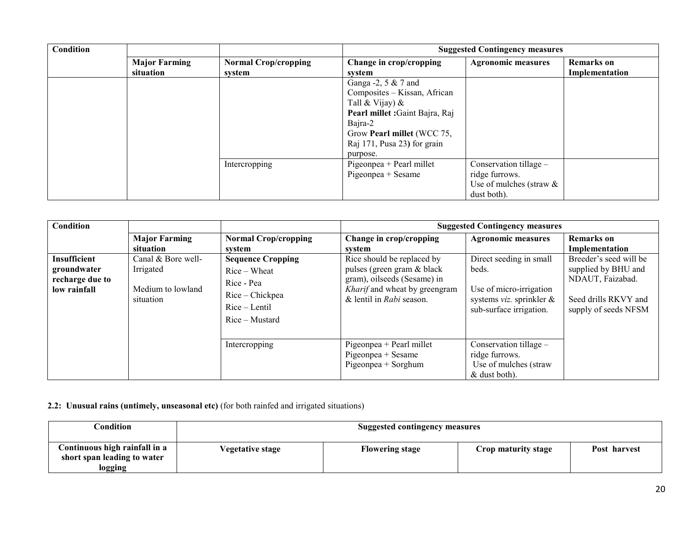| Condition |                                   |                                       | <b>Suggested Contingency measures</b>                                                                                                                                                               |                                                                                       |                                     |
|-----------|-----------------------------------|---------------------------------------|-----------------------------------------------------------------------------------------------------------------------------------------------------------------------------------------------------|---------------------------------------------------------------------------------------|-------------------------------------|
|           | <b>Major Farming</b><br>situation | <b>Normal Crop/cropping</b><br>system | Change in crop/cropping<br>system                                                                                                                                                                   | <b>Agronomic measures</b>                                                             | <b>Remarks</b> on<br>Implementation |
|           |                                   |                                       | Ganga $-2$ , 5 & 7 and<br>Composites - Kissan, African<br>Tall & Vijay) $\&$<br>Pearl millet : Gaint Bajra, Raj<br>Bajra-2<br>Grow Pearl millet (WCC 75,<br>Raj 171, Pusa 23) for grain<br>purpose. |                                                                                       |                                     |
|           |                                   | Intercropping                         | Pigeonpea + Pearl millet<br>$Pigeonpea + Sesame$                                                                                                                                                    | Conservation tillage -<br>ridge furrows.<br>Use of mulches (straw $\&$<br>dust both). |                                     |

| Condition                                                             |                                                                   |                                                                                                                | <b>Suggested Contingency measures</b>                                                                                                                |                                                                                                                               |                                                                                                                   |  |
|-----------------------------------------------------------------------|-------------------------------------------------------------------|----------------------------------------------------------------------------------------------------------------|------------------------------------------------------------------------------------------------------------------------------------------------------|-------------------------------------------------------------------------------------------------------------------------------|-------------------------------------------------------------------------------------------------------------------|--|
|                                                                       | <b>Major Farming</b><br>situation                                 | <b>Normal Crop/cropping</b><br>system                                                                          | Change in crop/cropping<br>svstem                                                                                                                    | <b>Agronomic measures</b>                                                                                                     | <b>Remarks</b> on<br>Implementation                                                                               |  |
| <b>Insufficient</b><br>groundwater<br>recharge due to<br>low rainfall | Canal & Bore well-<br>Irrigated<br>Medium to lowland<br>situation | <b>Sequence Cropping</b><br>$Rice-Wheat$<br>Rice - Pea<br>Rice – Chickpea<br>$Rice - Lentil$<br>Rice – Mustard | Rice should be replaced by<br>pulses (green gram & black<br>gram), oilseeds (Sesame) in<br>Kharif and wheat by greengram<br>& lentil in Rabi season. | Direct seeding in small<br>beds.<br>Use of micro-irrigation<br>systems <i>viz</i> . sprinkler $\&$<br>sub-surface irrigation. | Breeder's seed will be<br>supplied by BHU and<br>NDAUT, Faizabad.<br>Seed drills RKVY and<br>supply of seeds NFSM |  |
|                                                                       |                                                                   | Intercropping                                                                                                  | Pigeonpea + Pearl millet<br>Pigeonpea + Sesame<br>Pigeonpea + Sorghum                                                                                | Conservation tillage -<br>ridge furrows.<br>Use of mulches (straw<br>& dust both).                                            |                                                                                                                   |  |

2.2: Unusual rains (untimely, unseasonal etc) (for both rainfed and irrigated situations)

| $\cap$ ondition                                                         | <b>Suggested contingency measures</b> |                        |                     |              |
|-------------------------------------------------------------------------|---------------------------------------|------------------------|---------------------|--------------|
| Continuous high rainfall in a<br>short span leading to water<br>logging | Vegetative stage                      | <b>Flowering stage</b> | Crop maturity stage | Post harvest |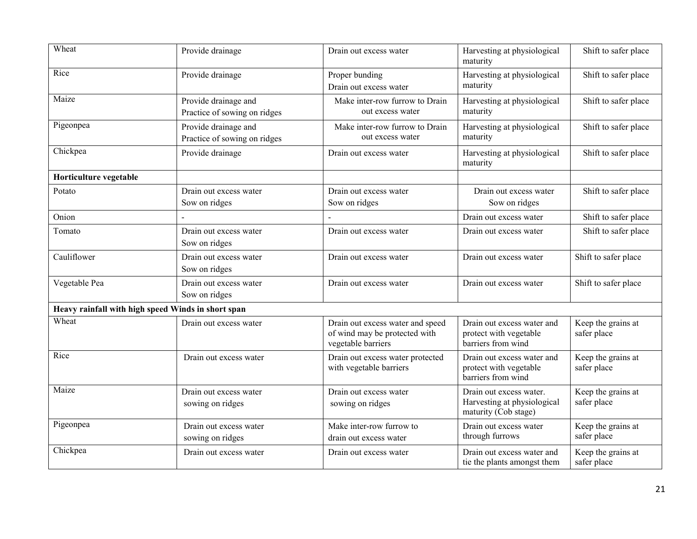| Wheat                                              | Provide drainage                                     | Drain out excess water                                                                  | Harvesting at physiological<br>maturity                                        | Shift to safer place              |
|----------------------------------------------------|------------------------------------------------------|-----------------------------------------------------------------------------------------|--------------------------------------------------------------------------------|-----------------------------------|
| Rice                                               | Provide drainage                                     | Proper bunding<br>Drain out excess water                                                | Harvesting at physiological<br>maturity                                        | Shift to safer place              |
| Maize                                              | Provide drainage and<br>Practice of sowing on ridges | Make inter-row furrow to Drain<br>out excess water                                      | Harvesting at physiological<br>maturity                                        | Shift to safer place              |
| Pigeonpea                                          | Provide drainage and<br>Practice of sowing on ridges | Make inter-row furrow to Drain<br>out excess water                                      | Harvesting at physiological<br>maturity                                        | Shift to safer place              |
| Chickpea                                           | Provide drainage                                     | Drain out excess water                                                                  | Harvesting at physiological<br>maturity                                        | Shift to safer place              |
| Horticulture vegetable                             |                                                      |                                                                                         |                                                                                |                                   |
| Potato                                             | Drain out excess water<br>Sow on ridges              | Drain out excess water<br>Sow on ridges                                                 | Drain out excess water<br>Sow on ridges                                        | Shift to safer place              |
| Onion                                              |                                                      |                                                                                         | Drain out excess water                                                         | Shift to safer place              |
| Tomato                                             | Drain out excess water<br>Sow on ridges              | Drain out excess water                                                                  | Drain out excess water                                                         | Shift to safer place              |
| Cauliflower                                        | Drain out excess water<br>Sow on ridges              | Drain out excess water                                                                  | Drain out excess water                                                         | Shift to safer place              |
| Vegetable Pea                                      | Drain out excess water<br>Sow on ridges              | Drain out excess water                                                                  | Drain out excess water                                                         | Shift to safer place              |
| Heavy rainfall with high speed Winds in short span |                                                      |                                                                                         |                                                                                |                                   |
| Wheat                                              | Drain out excess water                               | Drain out excess water and speed<br>of wind may be protected with<br>vegetable barriers | Drain out excess water and<br>protect with vegetable<br>barriers from wind     | Keep the grains at<br>safer place |
| Rice                                               | Drain out excess water                               | Drain out excess water protected<br>with vegetable barriers                             | Drain out excess water and<br>protect with vegetable<br>barriers from wind     | Keep the grains at<br>safer place |
| Maize                                              | Drain out excess water<br>sowing on ridges           | Drain out excess water<br>sowing on ridges                                              | Drain out excess water.<br>Harvesting at physiological<br>maturity (Cob stage) | Keep the grains at<br>safer place |
| Pigeonpea                                          | Drain out excess water<br>sowing on ridges           | Make inter-row furrow to<br>drain out excess water                                      | Drain out excess water<br>through furrows                                      | Keep the grains at<br>safer place |
| Chickpea                                           | Drain out excess water                               | Drain out excess water                                                                  | Drain out excess water and<br>tie the plants amongst them                      | Keep the grains at<br>safer place |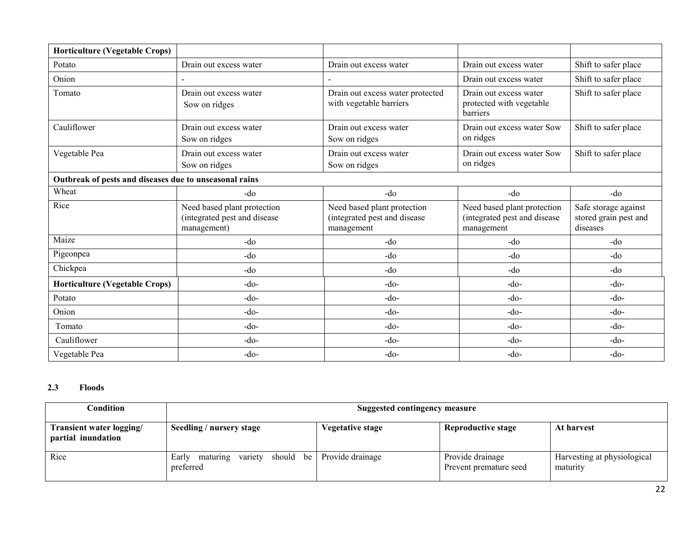| <b>Horticulture (Vegetable Crops)</b>                  |                                                                            |                                                                           |                                                                           |                                                           |
|--------------------------------------------------------|----------------------------------------------------------------------------|---------------------------------------------------------------------------|---------------------------------------------------------------------------|-----------------------------------------------------------|
| Potato                                                 | Drain out excess water                                                     | Drain out excess water                                                    | Drain out excess water                                                    | Shift to safer place                                      |
| Onion                                                  |                                                                            |                                                                           | Drain out excess water                                                    | Shift to safer place                                      |
| Tomato                                                 | Drain out excess water<br>Sow on ridges                                    | Drain out excess water protected<br>with vegetable barriers               | Drain out excess water<br>protected with vegetable<br>barriers            | Shift to safer place                                      |
| Cauliflower                                            | Drain out excess water<br>Sow on ridges                                    | Drain out excess water<br>Sow on ridges                                   | Drain out excess water Sow<br>on ridges                                   | Shift to safer place                                      |
| Vegetable Pea                                          | Drain out excess water<br>Sow on ridges                                    | Drain out excess water<br>Sow on ridges                                   | Drain out excess water Sow<br>on ridges                                   | Shift to safer place                                      |
| Outbreak of pests and diseases due to unseasonal rains |                                                                            |                                                                           |                                                                           |                                                           |
| Wheat                                                  | -do                                                                        | -do                                                                       | $-do$                                                                     | -do                                                       |
| Rice                                                   | Need based plant protection<br>(integrated pest and disease<br>management) | Need based plant protection<br>(integrated pest and disease<br>management | Need based plant protection<br>(integrated pest and disease<br>management | Safe storage against<br>stored grain pest and<br>diseases |
| Maize                                                  | $-do$                                                                      | $-do$                                                                     | -do                                                                       | $-do$                                                     |
| Pigeonpea                                              | -do                                                                        | -do                                                                       | -do                                                                       | -do                                                       |
| Chickpea                                               | -do                                                                        | $-do$                                                                     | -do                                                                       | -do                                                       |
| <b>Horticulture (Vegetable Crops)</b>                  | $-do-$                                                                     | $-do-$                                                                    | $-do$                                                                     | $-do$                                                     |
| Potato                                                 | $-do-$                                                                     | $-do-$                                                                    | $-do-$                                                                    | $-do-$                                                    |
| Onion                                                  | $-do$                                                                      | $-do-$                                                                    | -do-                                                                      | $-do-$                                                    |
| Tomato                                                 | $-do-$                                                                     | $-do-$                                                                    | $-do$                                                                     | $-do$                                                     |
| Cauliflower                                            | $-do-$                                                                     | $-do-$                                                                    | $-do-$                                                                    | $-do-$                                                    |
| Vegetable Pea                                          | $-do$                                                                      | $-do-$                                                                    | $-do-$                                                                    | $-do$                                                     |

#### 2.3Floods

| Condition                                      | Suggested contingency measure                          |                  |                                            |                                         |  |
|------------------------------------------------|--------------------------------------------------------|------------------|--------------------------------------------|-----------------------------------------|--|
| Transient water logging/<br>partial inundation | Seedling / nursery stage                               | Vegetative stage | Reproductive stage                         | At harvest                              |  |
| Rice                                           | should be<br>variety<br>maturing<br>Early<br>preferred | Provide drainage | Provide drainage<br>Prevent premature seed | Harvesting at physiological<br>maturity |  |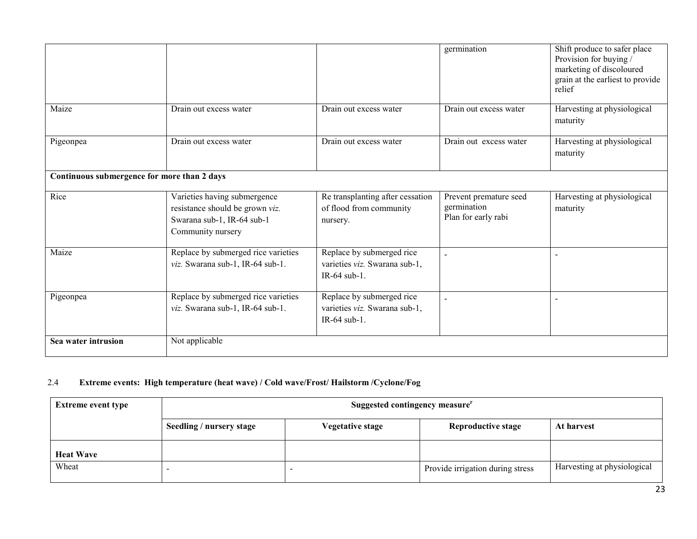|                                             |                                                                                                                    |                                                                            | germination                                                  | Shift produce to safer place<br>Provision for buying /<br>marketing of discoloured<br>grain at the earliest to provide<br>relief |
|---------------------------------------------|--------------------------------------------------------------------------------------------------------------------|----------------------------------------------------------------------------|--------------------------------------------------------------|----------------------------------------------------------------------------------------------------------------------------------|
| Maize                                       | Drain out excess water                                                                                             | Drain out excess water                                                     | Drain out excess water                                       | Harvesting at physiological<br>maturity                                                                                          |
| Pigeonpea                                   | Drain out excess water                                                                                             | Drain out excess water                                                     | Drain out excess water                                       | Harvesting at physiological<br>maturity                                                                                          |
| Continuous submergence for more than 2 days |                                                                                                                    |                                                                            |                                                              |                                                                                                                                  |
| Rice                                        | Varieties having submergence<br>resistance should be grown viz.<br>Swarana sub-1, IR-64 sub-1<br>Community nursery | Re transplanting after cessation<br>of flood from community<br>nursery.    | Prevent premature seed<br>germination<br>Plan for early rabi | Harvesting at physiological<br>maturity                                                                                          |
| Maize                                       | Replace by submerged rice varieties<br>viz. Swarana sub-1, IR-64 sub-1.                                            | Replace by submerged rice<br>varieties viz. Swarana sub-1,<br>IR-64 sub-1. |                                                              | $\overline{a}$                                                                                                                   |
| Pigeonpea                                   | Replace by submerged rice varieties<br>viz. Swarana sub-1, IR-64 sub-1.                                            | Replace by submerged rice<br>varieties viz. Swarana sub-1,<br>IR-64 sub-1. |                                                              |                                                                                                                                  |
| Sea water intrusion                         | Not applicable                                                                                                     |                                                                            |                                                              |                                                                                                                                  |

#### 2.4Extreme events: High temperature (heat wave) / Cold wave/Frost/ Hailstorm /Cyclone/Fog

| <b>Extreme event type</b> | Suggested contingency measure <sup>r</sup> |                         |                                  |                             |  |
|---------------------------|--------------------------------------------|-------------------------|----------------------------------|-----------------------------|--|
|                           | Seedling / nursery stage                   | <b>Vegetative stage</b> | <b>Reproductive stage</b>        | At harvest                  |  |
| <b>Heat Wave</b>          |                                            |                         |                                  |                             |  |
| Wheat                     |                                            |                         | Provide irrigation during stress | Harvesting at physiological |  |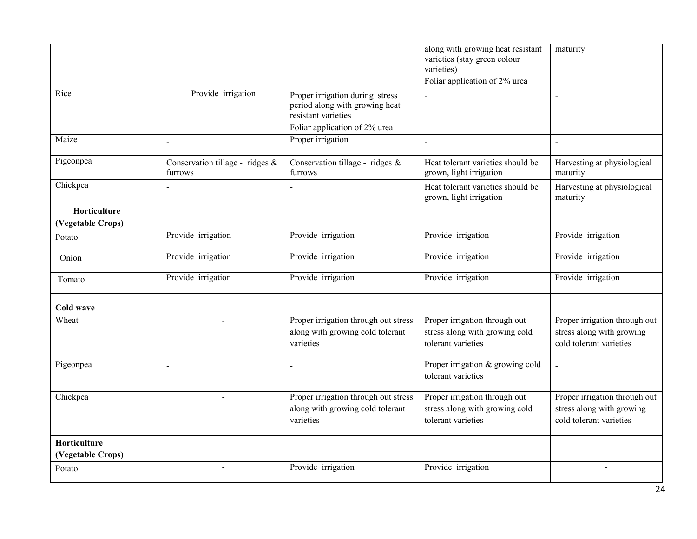|                                   |                                            |                                                                                                                           | along with growing heat resistant<br>varieties (stay green colour<br>varieties)<br>Foliar application of 2% urea | maturity                                                                              |
|-----------------------------------|--------------------------------------------|---------------------------------------------------------------------------------------------------------------------------|------------------------------------------------------------------------------------------------------------------|---------------------------------------------------------------------------------------|
| Rice                              | Provide irrigation                         | Proper irrigation during stress<br>period along with growing heat<br>resistant varieties<br>Foliar application of 2% urea |                                                                                                                  |                                                                                       |
| Maize                             |                                            | Proper irrigation                                                                                                         | $\blacksquare$                                                                                                   | $\sim$                                                                                |
| Pigeonpea                         | Conservation tillage - ridges &<br>furrows | Conservation tillage - ridges &<br>furrows                                                                                | Heat tolerant varieties should be<br>grown, light irrigation                                                     | Harvesting at physiological<br>maturity                                               |
| Chickpea                          |                                            |                                                                                                                           | Heat tolerant varieties should be<br>grown, light irrigation                                                     | Harvesting at physiological<br>maturity                                               |
| Horticulture<br>(Vegetable Crops) |                                            |                                                                                                                           |                                                                                                                  |                                                                                       |
| Potato                            | Provide irrigation                         | Provide irrigation                                                                                                        | Provide irrigation                                                                                               | Provide irrigation                                                                    |
| Onion                             | Provide irrigation                         | Provide irrigation                                                                                                        | Provide irrigation                                                                                               | Provide irrigation                                                                    |
| Tomato                            | Provide irrigation                         | Provide irrigation                                                                                                        | Provide irrigation                                                                                               | Provide irrigation                                                                    |
| Cold wave                         |                                            |                                                                                                                           |                                                                                                                  |                                                                                       |
| Wheat                             |                                            | Proper irrigation through out stress<br>along with growing cold tolerant<br>varieties                                     | Proper irrigation through out<br>stress along with growing cold<br>tolerant varieties                            | Proper irrigation through out<br>stress along with growing<br>cold tolerant varieties |
| Pigeonpea                         |                                            |                                                                                                                           | Proper irrigation & growing cold<br>tolerant varieties                                                           |                                                                                       |
| Chickpea                          |                                            | Proper irrigation through out stress<br>along with growing cold tolerant<br>varieties                                     | Proper irrigation through out<br>stress along with growing cold<br>tolerant varieties                            | Proper irrigation through out<br>stress along with growing<br>cold tolerant varieties |
| Horticulture                      |                                            |                                                                                                                           |                                                                                                                  |                                                                                       |
| (Vegetable Crops)<br>Potato       | $\overline{\phantom{a}}$                   | Provide irrigation                                                                                                        | Provide irrigation                                                                                               |                                                                                       |
|                                   |                                            |                                                                                                                           |                                                                                                                  |                                                                                       |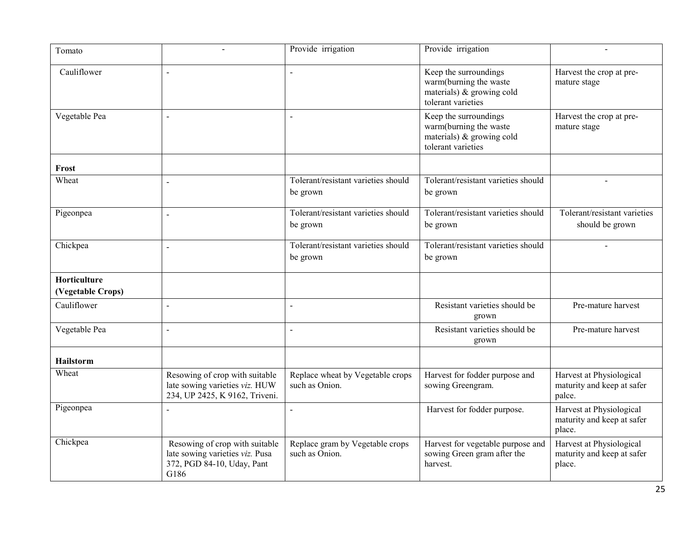| Tomato                            |                                                                                                         | Provide irrigation                                 | Provide irrigation                                                                                    |                                                                  |
|-----------------------------------|---------------------------------------------------------------------------------------------------------|----------------------------------------------------|-------------------------------------------------------------------------------------------------------|------------------------------------------------------------------|
| Cauliflower                       |                                                                                                         |                                                    | Keep the surroundings<br>warm(burning the waste<br>materials) $\&$ growing cold<br>tolerant varieties | Harvest the crop at pre-<br>mature stage                         |
| Vegetable Pea                     |                                                                                                         |                                                    | Keep the surroundings<br>warm(burning the waste<br>materials) & growing cold<br>tolerant varieties    | Harvest the crop at pre-<br>mature stage                         |
| Frost                             |                                                                                                         |                                                    |                                                                                                       |                                                                  |
| Wheat                             |                                                                                                         | Tolerant/resistant varieties should<br>be grown    | Tolerant/resistant varieties should<br>be grown                                                       | $\overline{a}$                                                   |
| Pigeonpea                         | $\ddot{\phantom{a}}$                                                                                    | Tolerant/resistant varieties should<br>be grown    | Tolerant/resistant varieties should<br>be grown                                                       | Tolerant/resistant varieties<br>should be grown                  |
| Chickpea                          | $\overline{a}$                                                                                          | Tolerant/resistant varieties should<br>be grown    | Tolerant/resistant varieties should<br>be grown                                                       |                                                                  |
| Horticulture<br>(Vegetable Crops) |                                                                                                         |                                                    |                                                                                                       |                                                                  |
| Cauliflower                       | $\overline{a}$                                                                                          |                                                    | Resistant varieties should be<br>grown                                                                | Pre-mature harvest                                               |
| Vegetable Pea                     | $\overline{a}$                                                                                          |                                                    | Resistant varieties should be<br>grown                                                                | Pre-mature harvest                                               |
| <b>Hailstorm</b>                  |                                                                                                         |                                                    |                                                                                                       |                                                                  |
| Wheat                             | Resowing of crop with suitable<br>late sowing varieties viz. HUW<br>234, UP 2425, K 9162, Triveni.      | Replace wheat by Vegetable crops<br>such as Onion. | Harvest for fodder purpose and<br>sowing Greengram.                                                   | Harvest at Physiological<br>maturity and keep at safer<br>palce. |
| Pigeonpea                         |                                                                                                         |                                                    | Harvest for fodder purpose.                                                                           | Harvest at Physiological<br>maturity and keep at safer<br>place. |
| Chickpea                          | Resowing of crop with suitable<br>late sowing varieties viz. Pusa<br>372, PGD 84-10, Uday, Pant<br>G186 | Replace gram by Vegetable crops<br>such as Onion.  | Harvest for vegetable purpose and<br>sowing Green gram after the<br>harvest.                          | Harvest at Physiological<br>maturity and keep at safer<br>place. |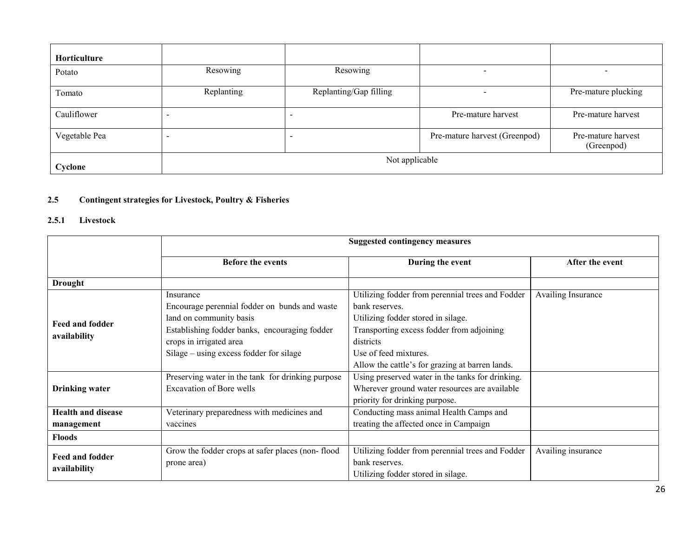| Horticulture  |                |                        |                               |                                  |  |
|---------------|----------------|------------------------|-------------------------------|----------------------------------|--|
| Potato        | Resowing       | Resowing               | $\overline{\phantom{0}}$      | <b>.</b>                         |  |
| Tomato        | Replanting     | Replanting/Gap filling | -                             | Pre-mature plucking              |  |
| Cauliflower   |                |                        | Pre-mature harvest            | Pre-mature harvest               |  |
| Vegetable Pea |                |                        | Pre-mature harvest (Greenpod) | Pre-mature harvest<br>(Greenpod) |  |
| Cyclone       | Not applicable |                        |                               |                                  |  |

### 2.5 Contingent strategies for Livestock, Poultry & Fisheries

### 2.5.1 Livestock

|                                         | <b>Suggested contingency measures</b>                                                                                                                                                                        |                                                                                                                                                                                                                                                |                    |  |  |
|-----------------------------------------|--------------------------------------------------------------------------------------------------------------------------------------------------------------------------------------------------------------|------------------------------------------------------------------------------------------------------------------------------------------------------------------------------------------------------------------------------------------------|--------------------|--|--|
|                                         | <b>Before the events</b>                                                                                                                                                                                     | During the event                                                                                                                                                                                                                               | After the event    |  |  |
| <b>Drought</b>                          |                                                                                                                                                                                                              |                                                                                                                                                                                                                                                |                    |  |  |
| Feed and fodder<br>availability         | Insurance<br>Encourage perennial fodder on bunds and waste<br>land on community basis<br>Establishing fodder banks, encouraging fodder<br>crops in irrigated area<br>Silage – using excess fodder for silage | Utilizing fodder from perennial trees and Fodder<br>bank reserves.<br>Utilizing fodder stored in silage.<br>Transporting excess fodder from adjoining<br>districts<br>Use of feed mixtures.<br>Allow the cattle's for grazing at barren lands. | Availing Insurance |  |  |
| <b>Drinking water</b>                   | Preserving water in the tank for drinking purpose<br>Excavation of Bore wells                                                                                                                                | Using preserved water in the tanks for drinking.<br>Wherever ground water resources are available<br>priority for drinking purpose.                                                                                                            |                    |  |  |
| <b>Health and disease</b><br>management | Veterinary preparedness with medicines and<br>vaccines                                                                                                                                                       | Conducting mass animal Health Camps and<br>treating the affected once in Campaign                                                                                                                                                              |                    |  |  |
| <b>Floods</b>                           |                                                                                                                                                                                                              |                                                                                                                                                                                                                                                |                    |  |  |
| <b>Feed and fodder</b><br>availability  | Grow the fodder crops at safer places (non-flood<br>prone area)                                                                                                                                              | Utilizing fodder from perennial trees and Fodder<br>bank reserves.<br>Utilizing fodder stored in silage.                                                                                                                                       | Availing insurance |  |  |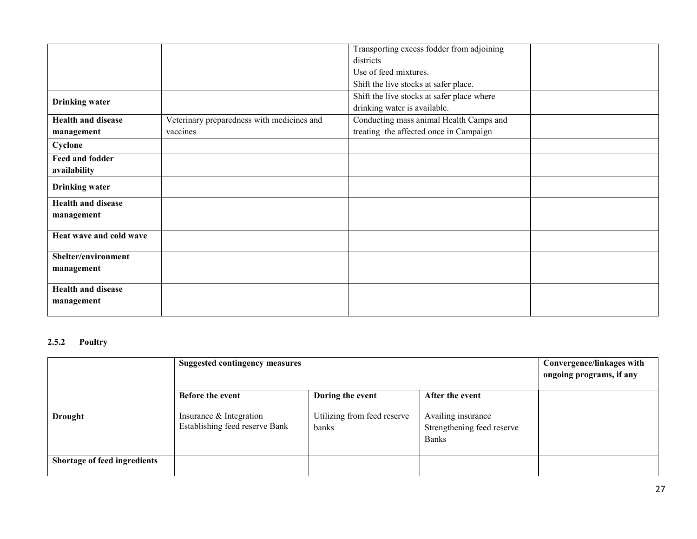|                           |                                            | Transporting excess fodder from adjoining  |  |
|---------------------------|--------------------------------------------|--------------------------------------------|--|
|                           |                                            | districts                                  |  |
|                           |                                            | Use of feed mixtures.                      |  |
|                           |                                            | Shift the live stocks at safer place.      |  |
|                           |                                            | Shift the live stocks at safer place where |  |
| <b>Drinking</b> water     |                                            | drinking water is available.               |  |
| <b>Health and disease</b> | Veterinary preparedness with medicines and | Conducting mass animal Health Camps and    |  |
| management                | vaccines                                   | treating the affected once in Campaign     |  |
| Cyclone                   |                                            |                                            |  |
| Feed and fodder           |                                            |                                            |  |
| availability              |                                            |                                            |  |
| <b>Drinking water</b>     |                                            |                                            |  |
| <b>Health and disease</b> |                                            |                                            |  |
| management                |                                            |                                            |  |
|                           |                                            |                                            |  |
| Heat wave and cold wave   |                                            |                                            |  |
| Shelter/environment       |                                            |                                            |  |
| management                |                                            |                                            |  |
|                           |                                            |                                            |  |
| <b>Health and disease</b> |                                            |                                            |  |
| management                |                                            |                                            |  |
|                           |                                            |                                            |  |

### 2.5.2 Poultry

|                                     | <b>Suggested contingency measures</b>                     |                                      |                                                                  | Convergence/linkages with<br>ongoing programs, if any |
|-------------------------------------|-----------------------------------------------------------|--------------------------------------|------------------------------------------------------------------|-------------------------------------------------------|
|                                     | <b>Before the event</b>                                   | During the event                     | After the event                                                  |                                                       |
| <b>Drought</b>                      | Insurance & Integration<br>Establishing feed reserve Bank | Utilizing from feed reserve<br>banks | Availing insurance<br>Strengthening feed reserve<br><b>Banks</b> |                                                       |
| <b>Shortage of feed ingredients</b> |                                                           |                                      |                                                                  |                                                       |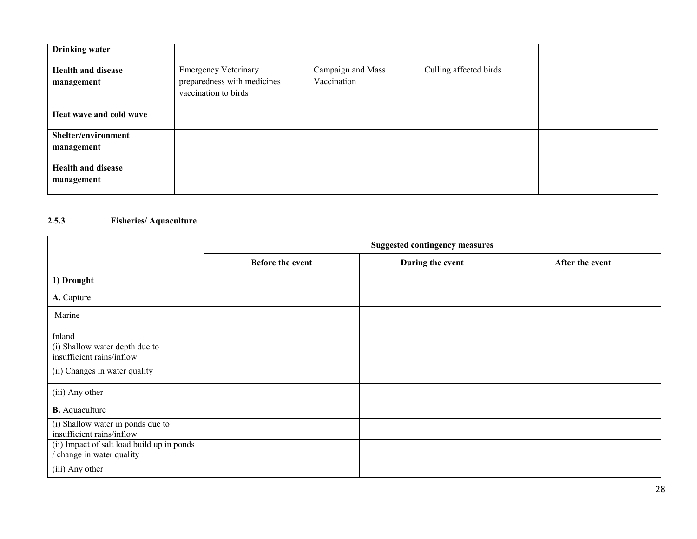| <b>Drinking water</b>                   |                                                                                    |                                  |                        |  |
|-----------------------------------------|------------------------------------------------------------------------------------|----------------------------------|------------------------|--|
| <b>Health and disease</b><br>management | <b>Emergency Veterinary</b><br>preparedness with medicines<br>vaccination to birds | Campaign and Mass<br>Vaccination | Culling affected birds |  |
| Heat wave and cold wave                 |                                                                                    |                                  |                        |  |
| Shelter/environment<br>management       |                                                                                    |                                  |                        |  |
| <b>Health and disease</b><br>management |                                                                                    |                                  |                        |  |

#### 2.5.3Fisheries/ Aquaculture

|                                                                       | <b>Suggested contingency measures</b> |                  |                 |
|-----------------------------------------------------------------------|---------------------------------------|------------------|-----------------|
|                                                                       | Before the event                      | During the event | After the event |
| 1) Drought                                                            |                                       |                  |                 |
| A. Capture                                                            |                                       |                  |                 |
| Marine                                                                |                                       |                  |                 |
| Inland                                                                |                                       |                  |                 |
| (i) Shallow water depth due to<br>insufficient rains/inflow           |                                       |                  |                 |
| (ii) Changes in water quality                                         |                                       |                  |                 |
| (iii) Any other                                                       |                                       |                  |                 |
| <b>B.</b> Aquaculture                                                 |                                       |                  |                 |
| (i) Shallow water in ponds due to<br>insufficient rains/inflow        |                                       |                  |                 |
| (ii) Impact of salt load build up in ponds<br>change in water quality |                                       |                  |                 |
| (iii) Any other                                                       |                                       |                  |                 |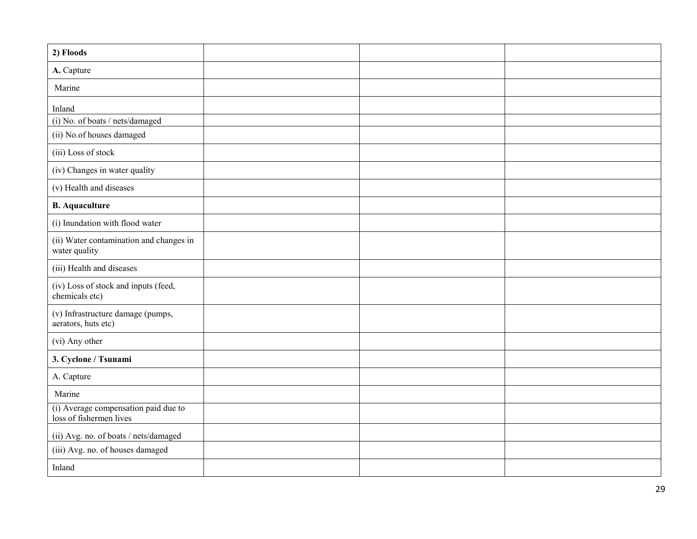| 2) Floods                                                       |  |  |
|-----------------------------------------------------------------|--|--|
| A. Capture                                                      |  |  |
| Marine                                                          |  |  |
| Inland                                                          |  |  |
| (i) No. of boats / nets/damaged                                 |  |  |
| (ii) No.of houses damaged                                       |  |  |
| (iii) Loss of stock                                             |  |  |
| (iv) Changes in water quality                                   |  |  |
| (v) Health and diseases                                         |  |  |
| <b>B.</b> Aquaculture                                           |  |  |
| (i) Inundation with flood water                                 |  |  |
| (ii) Water contamination and changes in<br>water quality        |  |  |
| (iii) Health and diseases                                       |  |  |
| (iv) Loss of stock and inputs (feed,<br>chemicals etc)          |  |  |
| (v) Infrastructure damage (pumps,<br>aerators, huts etc)        |  |  |
| (vi) Any other                                                  |  |  |
| 3. Cyclone / Tsunami                                            |  |  |
| A. Capture                                                      |  |  |
| Marine                                                          |  |  |
| (i) Average compensation paid due to<br>loss of fishermen lives |  |  |
| (ii) Avg. no. of boats / nets/damaged                           |  |  |
| (iii) Avg. no. of houses damaged                                |  |  |
| Inland                                                          |  |  |